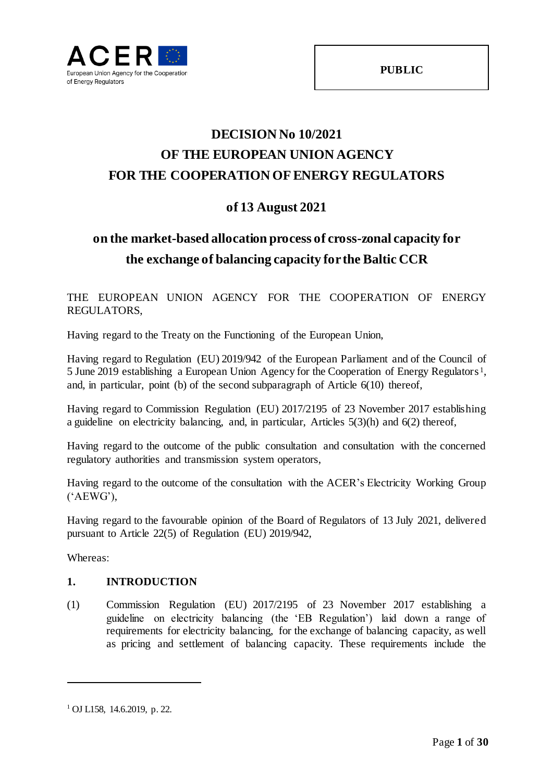

# **DECISION No 10/2021 OF THE EUROPEAN UNION AGENCY FOR THE COOPERATION OF ENERGY REGULATORS**

## **of 13 August 2021**

## **on the market-based allocation process of cross-zonal capacity for the exchange of balancing capacity for the Baltic CCR**

THE EUROPEAN UNION AGENCY FOR THE COOPERATION OF ENERGY REGULATORS,

Having regard to the Treaty on the Functioning of the European Union,

Having regard to Regulation (EU) 2019/942 of the European Parliament and of the Council of 5 June 2019 establishing a European Union Agency for the Cooperation of Energy Regulators<sup>1</sup>, and, in particular, point (b) of the second subparagraph of Article 6(10) thereof,

Having regard to Commission Regulation (EU) 2017/2195 of 23 November 2017 establishing a guideline on electricity balancing, and, in particular, Articles 5(3)(h) and 6(2) thereof,

Having regard to the outcome of the public consultation and consultation with the concerned regulatory authorities and transmission system operators,

Having regard to the outcome of the consultation with the ACER's Electricity Working Group ('AEWG'),

Having regard to the favourable opinion of the Board of Regulators of 13 July 2021, delivered pursuant to Article 22(5) of Regulation (EU) 2019/942,

Whereas:

l

## **1. INTRODUCTION**

(1) Commission Regulation (EU) 2017/2195 of 23 November 2017 establishing a guideline on electricity balancing (the 'EB Regulation') laid down a range of requirements for electricity balancing, for the exchange of balancing capacity, as well as pricing and settlement of balancing capacity. These requirements include the

<sup>1</sup> OJ L158, 14.6.2019, p. 22.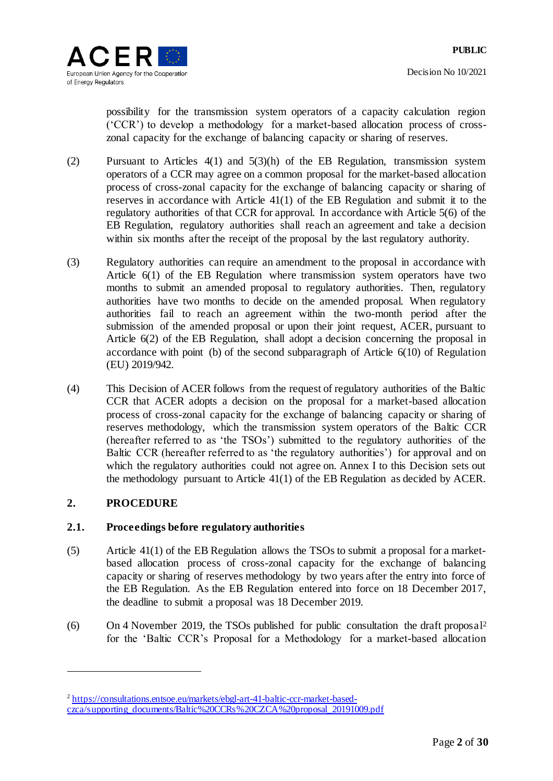possibility for the transmission system operators of a capacity calculation region ('CCR') to develop a methodology for a market-based allocation process of crosszonal capacity for the exchange of balancing capacity or sharing of reserves.

- (2) Pursuant to Articles 4(1) and 5(3)(h) of the EB Regulation, transmission system operators of a CCR may agree on a common proposal for the market-based allocation process of cross-zonal capacity for the exchange of balancing capacity or sharing of reserves in accordance with Article 41(1) of the EB Regulation and submit it to the regulatory authorities of that CCR for approval. In accordance with Article 5(6) of the EB Regulation, regulatory authorities shall reach an agreement and take a decision within six months after the receipt of the proposal by the last regulatory authority.
- (3) Regulatory authorities can require an amendment to the proposal in accordance with Article 6(1) of the EB Regulation where transmission system operators have two months to submit an amended proposal to regulatory authorities. Then, regulatory authorities have two months to decide on the amended proposal. When regulatory authorities fail to reach an agreement within the two-month period after the submission of the amended proposal or upon their joint request, ACER, pursuant to Article 6(2) of the EB Regulation, shall adopt a decision concerning the proposal in accordance with point (b) of the second subparagraph of Article 6(10) of Regulation (EU) 2019/942.
- (4) This Decision of ACER follows from the request of regulatory authorities of the Baltic CCR that ACER adopts a decision on the proposal for a market-based allocation process of cross-zonal capacity for the exchange of balancing capacity or sharing of reserves methodology, which the transmission system operators of the Baltic CCR (hereafter referred to as 'the TSOs') submitted to the regulatory authorities of the Baltic CCR (hereafter referred to as 'the regulatory authorities') for approval and on which the regulatory authorities could not agree on. Annex I to this Decision sets out the methodology pursuant to Article 41(1) of the EB Regulation as decided by ACER.

## **2. PROCEDURE**

l

## **2.1. Proceedings before regulatory authorities**

- (5) Article 41(1) of the EB Regulation allows the TSOs to submit a proposal for a marketbased allocation process of cross-zonal capacity for the exchange of balancing capacity or sharing of reserves methodology by two years after the entry into force of the EB Regulation. As the EB Regulation entered into force on 18 December 2017, the deadline to submit a proposal was 18 December 2019.
- <span id="page-1-0"></span>(6) On 4 November 2019, the TSOs published for public consultation the draft proposal<sup>2</sup> for the 'Baltic CCR's Proposal for a Methodology for a market-based allocation

<sup>&</sup>lt;sup>2</sup> [https://consultations.entsoe.eu/markets/ebgl-art-41-baltic-ccr-market-based](https://consultations.entsoe.eu/markets/ebgl-art-41-baltic-ccr-market-based-czca/supporting_documents/Baltic%20CCRs%20CZCA%20proposal_20191009.pdf)[czca/supporting\\_documents/Baltic%20CCRs%20CZCA%20proposal\\_20191009.pdf](https://consultations.entsoe.eu/markets/ebgl-art-41-baltic-ccr-market-based-czca/supporting_documents/Baltic%20CCRs%20CZCA%20proposal_20191009.pdf)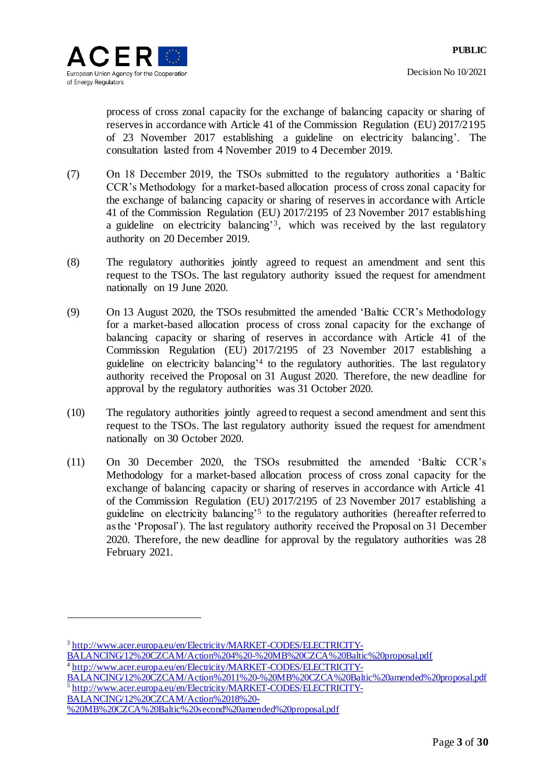process of cross zonal capacity for the exchange of balancing capacity or sharing of reserves in accordance with Article 41 of the Commission Regulation (EU) 2017/2195 of 23 November 2017 establishing a guideline on electricity balancing'. The consultation lasted from 4 November 2019 to 4 December 2019.

- (7) On 18 December 2019, the TSOs submitted to the regulatory authorities a 'Baltic CCR's Methodology for a market-based allocation process of cross zonal capacity for the exchange of balancing capacity or sharing of reserves in accordance with Article 41 of the Commission Regulation (EU) 2017/2195 of 23 November 2017 establishing a guideline on electricity balancing<sup>3</sup>, which was received by the last regulatory authority on 20 December 2019.
- (8) The regulatory authorities jointly agreed to request an amendment and sent this request to the TSOs. The last regulatory authority issued the request for amendment nationally on 19 June 2020.
- (9) On 13 August 2020, the TSOs resubmitted the amended 'Baltic CCR's Methodology for a market-based allocation process of cross zonal capacity for the exchange of balancing capacity or sharing of reserves in accordance with Article 41 of the Commission Regulation (EU) 2017/2195 of 23 November 2017 establishing a guideline on electricity balancing' 4 to the regulatory authorities. The last regulatory authority received the Proposal on 31 August 2020. Therefore, the new deadline for approval by the regulatory authorities was 31 October 2020.
- (10) The regulatory authorities jointly agreed to request a second amendment and sent this request to the TSOs. The last regulatory authority issued the request for amendment nationally on 30 October 2020.
- (11) On 30 December 2020, the TSOs resubmitted the amended 'Baltic CCR's Methodology for a market-based allocation process of cross zonal capacity for the exchange of balancing capacity or sharing of reserves in accordance with Article 41 of the Commission Regulation (EU) 2017/2195 of 23 November 2017 establishing a guideline on electricity balancing<sup>'5</sup> to the regulatory authorities (hereafter referred to as the 'Proposal'). The last regulatory authority received the Proposal on 31 December 2020. Therefore, the new deadline for approval by the regulatory authorities was 28 February 2021.

[BALANCING/12%20CZCAM/Action%2011%20-%20MB%20CZCA%20Baltic%20amended%20proposal.pdf](http://www.acer.europa.eu/en/Electricity/MARKET-CODES/ELECTRICITY-BALANCING/12%20CZCAM/Action%2011%20-%20MB%20CZCA%20Baltic%20amended%20proposal.pdf) 5 [http://www.acer.europa.eu/en/Electricity/MARKET-CODES/ELECTRICITY-](http://www.acer.europa.eu/en/Electricity/MARKET-CODES/ELECTRICITY-BALANCING/12%20CZCAM/Action%2018%20-%20MB%20CZCA%20Baltic%20second%20amended%20proposal.pdf)[BALANCING/12%20CZCAM/Action%2018%20-](http://www.acer.europa.eu/en/Electricity/MARKET-CODES/ELECTRICITY-BALANCING/12%20CZCAM/Action%2018%20-%20MB%20CZCA%20Baltic%20second%20amended%20proposal.pdf)

l

<sup>&</sup>lt;sup>3</sup> [http://www.acer.europa.eu/en/Electricity/MARKET-CODES/ELECTRICITY-](http://www.acer.europa.eu/en/Electricity/MARKET-CODES/ELECTRICITY-BALANCING/12%20CZCAM/Action%204%20-%20MB%20CZCA%20Baltic%20proposal.pdf)

[BALANCING/12%20CZCAM/Action%204%20-%20MB%20CZCA%20Baltic%20proposal.pdf](http://www.acer.europa.eu/en/Electricity/MARKET-CODES/ELECTRICITY-BALANCING/12%20CZCAM/Action%204%20-%20MB%20CZCA%20Baltic%20proposal.pdf)

<sup>&</sup>lt;sup>4</sup> [http://www.acer.europa.eu/en/Electricity/MARKET-CODES/ELECTRICITY-](http://www.acer.europa.eu/en/Electricity/MARKET-CODES/ELECTRICITY-BALANCING/12%20CZCAM/Action%2011%20-%20MB%20CZCA%20Baltic%20amended%20proposal.pdf)

[<sup>%20</sup>MB%20CZCA%20Baltic%20second%20amended%20proposal.pdf](http://www.acer.europa.eu/en/Electricity/MARKET-CODES/ELECTRICITY-BALANCING/12%20CZCAM/Action%2018%20-%20MB%20CZCA%20Baltic%20second%20amended%20proposal.pdf)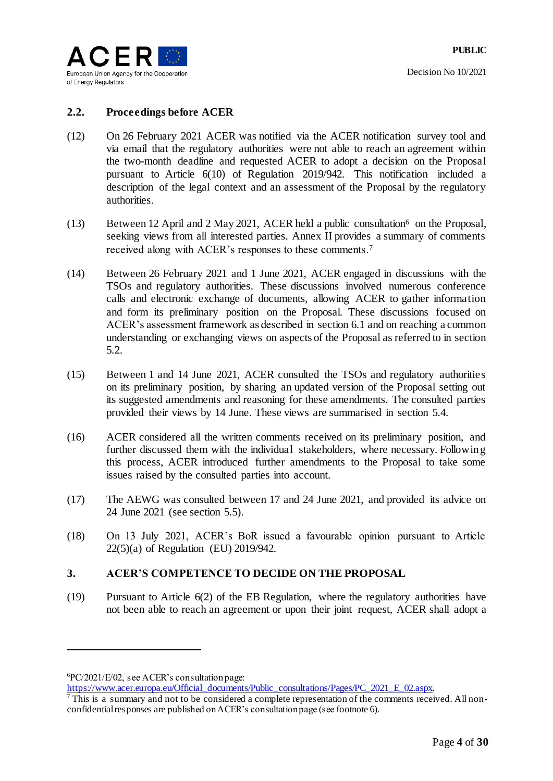

## **2.2. Proceedings before ACER**

- <span id="page-3-0"></span>(12) On 26 February 2021 ACER was notified via the ACER notification survey tool and via email that the regulatory authorities were not able to reach an agreement within the two-month deadline and requested ACER to adopt a decision on the Proposal pursuant to Article 6(10) of Regulation 2019/942. This notification included a description of the legal context and an assessment of the Proposal by the regulatory authorities.
- (13) Between 12 April and 2 May 2021, ACER held a public consultation  $6$  on the Proposal, seeking views from all interested parties. Annex II provides a summary of comments received along with ACER's responses to these comments. 7
- <span id="page-3-1"></span>(14) Between 26 February 2021 and 1 June 2021, ACER engaged in discussions with the TSOs and regulatory authorities. These discussions involved numerous conference calls and electronic exchange of documents, allowing ACER to gather information and form its preliminary position on the Proposal. These discussions focused on ACER's assessment framework as described in section 6.1 and on reaching a common understanding or exchanging views on aspects of the Proposal as referred to in section [5.2.](#page-5-0)
- (15) Between 1 and 14 June 2021, ACER consulted the TSOs and regulatory authorities on its preliminary position, by sharing an updated version of the Proposal setting out its suggested amendments and reasoning for these amendments. The consulted parties provided their views by 14 June. These views are summarised in section [5.4.](#page-5-1)
- (16) ACER considered all the written comments received on its preliminary position, and further discussed them with the individual stakeholders, where necessary. Following this process, ACER introduced further amendments to the Proposal to take some issues raised by the consulted parties into account.
- (17) The AEWG was consulted between 17 and 24 June 2021, and provided its advice on 24 June 2021 (see section [5.5\)](#page-7-0).
- (18) On 13 July 2021, ACER's BoR issued a favourable opinion pursuant to Article 22(5)(a) of Regulation (EU) 2019/942.

## **3. ACER'S COMPETENCE TO DECIDE ON THE PROPOSAL**

(19) Pursuant to Article 6(2) of the EB Regulation, where the regulatory authorities have not been able to reach an agreement or upon their joint request, ACER shall adopt a

l

[https://www.acer.europa.eu/Official\\_documents/Public\\_consultations/Pages/PC\\_2021\\_E\\_02.aspx.](https://www.acer.europa.eu/Official_documents/Public_consultations/Pages/PC_2021_E_02.aspx)

<sup>6</sup>PC/2021/E/02, see ACER's consultation page:

<sup>&</sup>lt;sup>7</sup> This is a summary and not to be considered a complete representation of the comments received. All nonconfidential responses are published on ACER's consultation page (see footnote 6).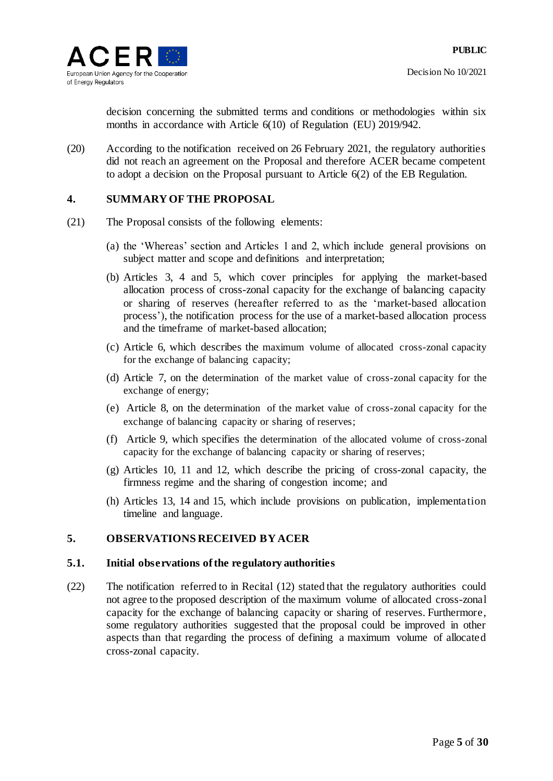

decision concerning the submitted terms and conditions or methodologies within six months in accordance with Article 6(10) of Regulation (EU) 2019/942.

(20) According to the notification received on 26 February 2021, the regulatory authorities did not reach an agreement on the Proposal and therefore ACER became competent to adopt a decision on the Proposal pursuant to Article 6(2) of the EB Regulation.

## **4. SUMMARY OF THE PROPOSAL**

- (21) The Proposal consists of the following elements:
	- (a) the 'Whereas' section and Articles 1 and 2, which include general provisions on subject matter and scope and definitions and interpretation;
	- (b) Articles 3, 4 and 5, which cover principles for applying the market-based allocation process of cross-zonal capacity for the exchange of balancing capacity or sharing of reserves (hereafter referred to as the 'market-based allocation process'), the notification process for the use of a market-based allocation process and the timeframe of market-based allocation;
	- (c) Article 6, which describes the maximum volume of allocated cross-zonal capacity for the exchange of balancing capacity;
	- (d) Article 7, on the determination of the market value of cross-zonal capacity for the exchange of energy;
	- (e) Article 8, on the determination of the market value of cross-zonal capacity for the exchange of balancing capacity or sharing of reserves;
	- (f) Article 9, which specifies the determination of the allocated volume of cross-zonal capacity for the exchange of balancing capacity or sharing of reserves;
	- (g) Articles 10, 11 and 12, which describe the pricing of cross-zonal capacity, the firmness regime and the sharing of congestion income; and
	- (h) Articles 13, 14 and 15, which include provisions on publication, implementation timeline and language.

## **5. OBSERVATIONS RECEIVED BY ACER**

#### **5.1. Initial observations of the regulatory authorities**

(22) The notification referred to in Recital [\(12\)](#page-3-0) stated that the regulatory authorities could not agree to the proposed description of the maximum volume of allocated cross-zonal capacity for the exchange of balancing capacity or sharing of reserves. Furthermore, some regulatory authorities suggested that the proposal could be improved in other aspects than that regarding the process of defining a maximum volume of allocated cross-zonal capacity.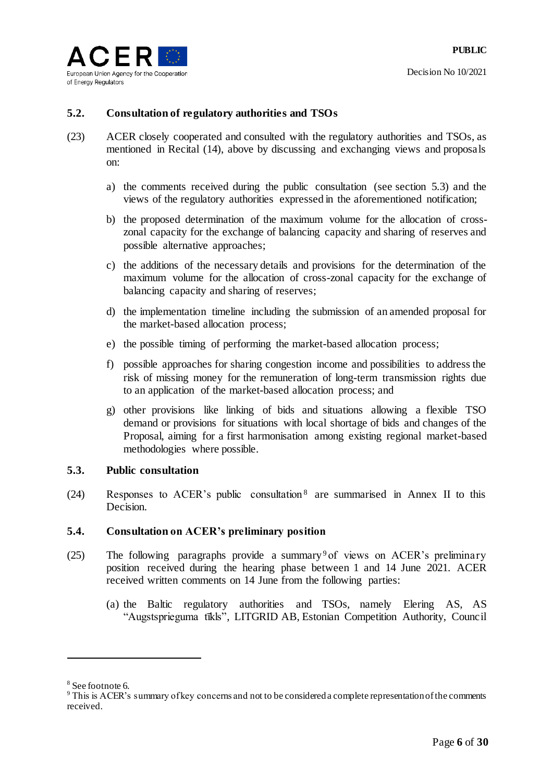

## <span id="page-5-0"></span>**5.2. Consultation of regulatory authorities and TSOs**

- (23) ACER closely cooperated and consulted with the regulatory authorities and TSOs, as mentioned in Recital [\(14\),](#page-3-1) above by discussing and exchanging views and proposals on:
	- a) the comments received during the public consultation (see section 5.3) and the views of the regulatory authorities expressed in the aforementioned notification;
	- b) the proposed determination of the maximum volume for the allocation of crosszonal capacity for the exchange of balancing capacity and sharing of reserves and possible alternative approaches;
	- c) the additions of the necessary details and provisions for the determination of the maximum volume for the allocation of cross-zonal capacity for the exchange of balancing capacity and sharing of reserves;
	- d) the implementation timeline including the submission of an amended proposal for the market-based allocation process;
	- e) the possible timing of performing the market-based allocation process;
	- f) possible approaches for sharing congestion income and possibilities to address the risk of missing money for the remuneration of long-term transmission rights due to an application of the market-based allocation process; and
	- g) other provisions like linking of bids and situations allowing a flexible TSO demand or provisions for situations with local shortage of bids and changes of the Proposal, aiming for a first harmonisation among existing regional market-based methodologies where possible.

#### **5.3. Public consultation**

<span id="page-5-2"></span>(24) Responses to ACER's public consultation <sup>8</sup> are summarised in Annex II to this Decision.

## <span id="page-5-1"></span>**5.4. Consultation on ACER's preliminary position**

- (25) The following paragraphs provide a summary<sup>9</sup> of views on ACER's preliminary position received during the hearing phase between 1 and 14 June 2021. ACER received written comments on 14 June from the following parties:
	- (a) the Baltic regulatory authorities and TSOs, namely Elering AS, AS "Augstsprieguma tīkls", LITGRID AB, Estonian Competition Authority, Council

l

<sup>8</sup> See footnote 6.

<sup>9</sup> This is ACER's summary of key concerns and not to be considered a complete representation of the comments received.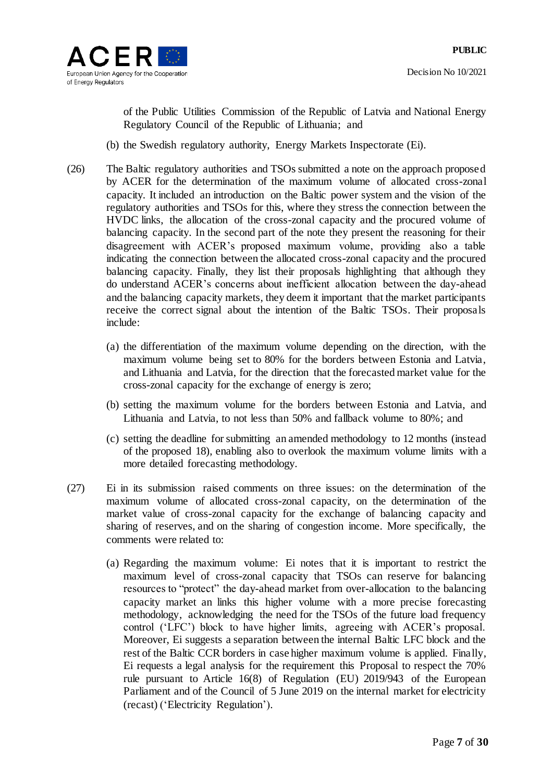

of the Public Utilities Commission of the Republic of Latvia and National Energy Regulatory Council of the Republic of Lithuania; and

- (b) the Swedish regulatory authority, Energy Markets Inspectorate (Ei).
- <span id="page-6-1"></span>(26) The Baltic regulatory authorities and TSOs submitted a note on the approach proposed by ACER for the determination of the maximum volume of allocated cross-zonal capacity. It included an introduction on the Baltic power system and the vision of the regulatory authorities and TSOs for this, where they stress the connection between the HVDC links, the allocation of the cross-zonal capacity and the procured volume of balancing capacity. In the second part of the note they present the reasoning for their disagreement with ACER's proposed maximum volume, providing also a table indicating the connection between the allocated cross-zonal capacity and the procured balancing capacity. Finally, they list their proposals highlighting that although they do understand ACER's concerns about inefficient allocation between the day-ahead and the balancing capacity markets, they deem it important that the market participants receive the correct signal about the intention of the Baltic TSOs. Their proposals include:
	- (a) the differentiation of the maximum volume depending on the direction, with the maximum volume being set to 80% for the borders between Estonia and Latvia, and Lithuania and Latvia, for the direction that the forecasted market value for the cross-zonal capacity for the exchange of energy is zero;
	- (b) setting the maximum volume for the borders between Estonia and Latvia, and Lithuania and Latvia, to not less than 50% and fallback volume to 80%; and
	- (c) setting the deadline for submitting an amended methodology to 12 months (instead of the proposed 18), enabling also to overlook the maximum volume limits with a more detailed forecasting methodology.
- <span id="page-6-0"></span>(27) Ei in its submission raised comments on three issues: on the determination of the maximum volume of allocated cross-zonal capacity, on the determination of the market value of cross-zonal capacity for the exchange of balancing capacity and sharing of reserves, and on the sharing of congestion income. More specifically, the comments were related to:
	- (a) Regarding the maximum volume: Ei notes that it is important to restrict the maximum level of cross-zonal capacity that TSOs can reserve for balancing resources to "protect" the day-ahead market from over-allocation to the balancing capacity market an links this higher volume with a more precise forecasting methodology, acknowledging the need for the TSOs of the future load frequency control ('LFC') block to have higher limits, agreeing with ACER's proposal. Moreover, Ei suggests a separation between the internal Baltic LFC block and the rest of the Baltic CCR borders in case higher maximum volume is applied. Finally, Ei requests a legal analysis for the requirement this Proposal to respect the 70% rule pursuant to Article 16(8) of Regulation (EU) 2019/943 of the European Parliament and of the Council of 5 June 2019 on the internal market for electricity (recast) ('Electricity Regulation').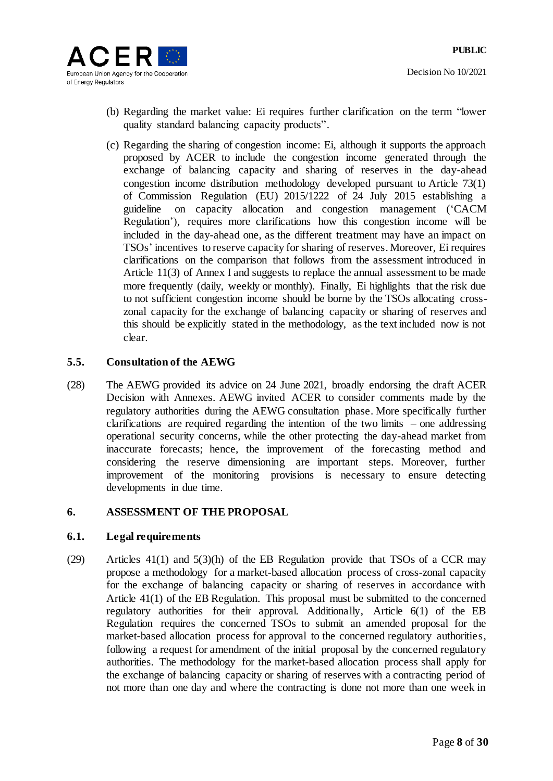

- (b) Regarding the market value: Ei requires further clarification on the term "lower quality standard balancing capacity products".
- (c) Regarding the sharing of congestion income: Ei, although it supports the approach proposed by ACER to include the congestion income generated through the exchange of balancing capacity and sharing of reserves in the day-ahead congestion income distribution methodology developed pursuant to Article 73(1) of Commission Regulation (EU) 2015/1222 of 24 July 2015 establishing a guideline on capacity allocation and congestion management ('CACM Regulation'), requires more clarifications how this congestion income will be included in the day-ahead one, as the different treatment may have an impact on TSOs' incentives to reserve capacity for sharing of reserves. Moreover, Ei requires clarifications on the comparison that follows from the assessment introduced in Article 11(3) of Annex I and suggests to replace the annual assessment to be made more frequently (daily, weekly or monthly). Finally, Ei highlights that the risk due to not sufficient congestion income should be borne by the TSOs allocating crosszonal capacity for the exchange of balancing capacity or sharing of reserves and this should be explicitly stated in the methodology, as the text included now is not clear.

## <span id="page-7-0"></span>**5.5. Consultation of the AEWG**

(28) The AEWG provided its advice on 24 June 2021, broadly endorsing the draft ACER Decision with Annexes. AEWG invited ACER to consider comments made by the regulatory authorities during the AEWG consultation phase. More specifically further clarifications are required regarding the intention of the two limits – one addressing operational security concerns, while the other protecting the day-ahead market from inaccurate forecasts; hence, the improvement of the forecasting method and considering the reserve dimensioning are important steps. Moreover, further improvement of the monitoring provisions is necessary to ensure detecting developments in due time.

## **6. ASSESSMENT OF THE PROPOSAL**

## **6.1. Legal requirements**

(29) Articles 41(1) and 5(3)(h) of the EB Regulation provide that TSOs of a CCR may propose a methodology for a market-based allocation process of cross-zonal capacity for the exchange of balancing capacity or sharing of reserves in accordance with Article 41(1) of the EB Regulation. This proposal must be submitted to the concerned regulatory authorities for their approval. Additionally, Article 6(1) of the EB Regulation requires the concerned TSOs to submit an amended proposal for the market-based allocation process for approval to the concerned regulatory authorities, following a request for amendment of the initial proposal by the concerned regulatory authorities. The methodology for the market-based allocation process shall apply for the exchange of balancing capacity or sharing of reserves with a contracting period of not more than one day and where the contracting is done not more than one week in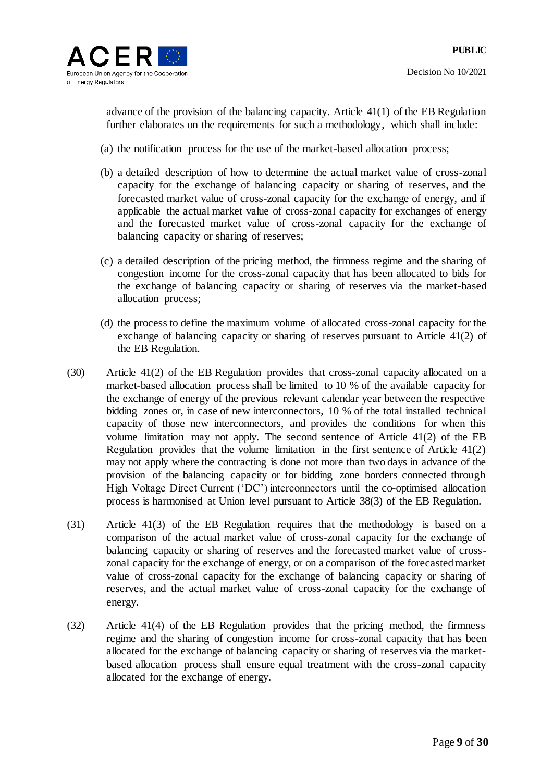advance of the provision of the balancing capacity. Article 41(1) of the EB Regulation further elaborates on the requirements for such a methodology, which shall include:

- (a) the notification process for the use of the market-based allocation process;
- (b) a detailed description of how to determine the actual market value of cross-zonal capacity for the exchange of balancing capacity or sharing of reserves, and the forecasted market value of cross-zonal capacity for the exchange of energy, and if applicable the actual market value of cross-zonal capacity for exchanges of energy and the forecasted market value of cross-zonal capacity for the exchange of balancing capacity or sharing of reserves;
- (c) a detailed description of the pricing method, the firmness regime and the sharing of congestion income for the cross-zonal capacity that has been allocated to bids for the exchange of balancing capacity or sharing of reserves via the market-based allocation process;
- (d) the process to define the maximum volume of allocated cross-zonal capacity for the exchange of balancing capacity or sharing of reserves pursuant to Article 41(2) of the EB Regulation.
- (30) Article 41(2) of the EB Regulation provides that cross-zonal capacity allocated on a market-based allocation process shall be limited to 10 % of the available capacity for the exchange of energy of the previous relevant calendar year between the respective bidding zones or, in case of new interconnectors, 10 % of the total installed technical capacity of those new interconnectors, and provides the conditions for when this volume limitation may not apply. The second sentence of Article 41(2) of the EB Regulation provides that the volume limitation in the first sentence of Article 41(2) may not apply where the contracting is done not more than two days in advance of the provision of the balancing capacity or for bidding zone borders connected through High Voltage Direct Current ('DC') interconnectors until the co-optimised allocation process is harmonised at Union level pursuant to Article 38(3) of the EB Regulation.
- (31) Article 41(3) of the EB Regulation requires that the methodology is based on a comparison of the actual market value of cross-zonal capacity for the exchange of balancing capacity or sharing of reserves and the forecasted market value of crosszonal capacity for the exchange of energy, or on a comparison of the forecasted market value of cross-zonal capacity for the exchange of balancing capacity or sharing of reserves, and the actual market value of cross-zonal capacity for the exchange of energy.
- (32) Article 41(4) of the EB Regulation provides that the pricing method, the firmness regime and the sharing of congestion income for cross-zonal capacity that has been allocated for the exchange of balancing capacity or sharing of reserves via the marketbased allocation process shall ensure equal treatment with the cross-zonal capacity allocated for the exchange of energy.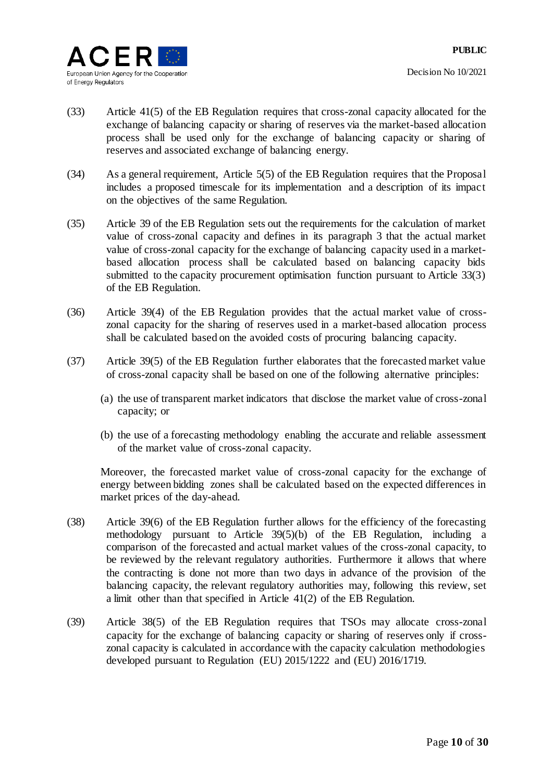- (33) Article 41(5) of the EB Regulation requires that cross-zonal capacity allocated for the exchange of balancing capacity or sharing of reserves via the market-based allocation process shall be used only for the exchange of balancing capacity or sharing of reserves and associated exchange of balancing energy.
- (34) As a general requirement, Article 5(5) of the EB Regulation requires that the Proposal includes a proposed timescale for its implementation and a description of its impact on the objectives of the same Regulation.
- (35) Article 39 of the EB Regulation sets out the requirements for the calculation of market value of cross-zonal capacity and defines in its paragraph 3 that the actual market value of cross-zonal capacity for the exchange of balancing capacity used in a marketbased allocation process shall be calculated based on balancing capacity bids submitted to the capacity procurement optimisation function pursuant to Article 33(3) of the EB Regulation.
- (36) Article 39(4) of the EB Regulation provides that the actual market value of crosszonal capacity for the sharing of reserves used in a market-based allocation process shall be calculated based on the avoided costs of procuring balancing capacity.
- (37) Article 39(5) of the EB Regulation further elaborates that the forecasted market value of cross-zonal capacity shall be based on one of the following alternative principles:
	- (a) the use of transparent market indicators that disclose the market value of cross-zonal capacity; or
	- (b) the use of a forecasting methodology enabling the accurate and reliable assessment of the market value of cross-zonal capacity.

Moreover, the forecasted market value of cross-zonal capacity for the exchange of energy between bidding zones shall be calculated based on the expected differences in market prices of the day-ahead.

- (38) Article 39(6) of the EB Regulation further allows for the efficiency of the forecasting methodology pursuant to Article 39(5)(b) of the EB Regulation, including a comparison of the forecasted and actual market values of the cross-zonal capacity, to be reviewed by the relevant regulatory authorities. Furthermore it allows that where the contracting is done not more than two days in advance of the provision of the balancing capacity, the relevant regulatory authorities may, following this review, set a limit other than that specified in Article 41(2) of the EB Regulation.
- (39) Article 38(5) of the EB Regulation requires that TSOs may allocate cross-zonal capacity for the exchange of balancing capacity or sharing of reserves only if crosszonal capacity is calculated in accordance with the capacity calculation methodologies developed pursuant to Regulation (EU) 2015/1222 and (EU) 2016/1719.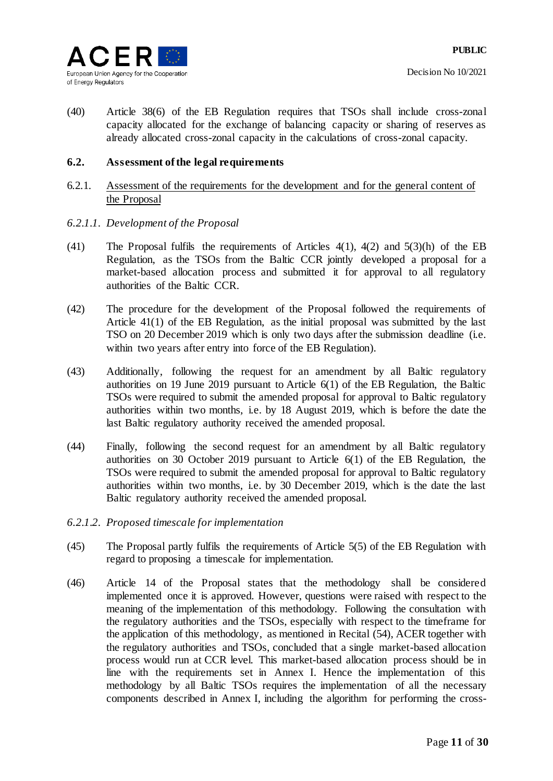

(40) Article 38(6) of the EB Regulation requires that TSOs shall include cross-zonal capacity allocated for the exchange of balancing capacity or sharing of reserves as already allocated cross-zonal capacity in the calculations of cross-zonal capacity.

## **6.2. Assessment of the legal requirements**

## 6.2.1. Assessment of the requirements for the development and for the general content of the Proposal

#### *6.2.1.1. Development of the Proposal*

- (41) The Proposal fulfils the requirements of Articles 4(1), 4(2) and 5(3)(h) of the EB Regulation, as the TSOs from the Baltic CCR jointly developed a proposal for a market-based allocation process and submitted it for approval to all regulatory authorities of the Baltic CCR.
- (42) The procedure for the development of the Proposal followed the requirements of Article 41(1) of the EB Regulation, as the initial proposal was submitted by the last TSO on 20 December 2019 which is only two days after the submission deadline (i.e. within two years after entry into force of the EB Regulation).
- (43) Additionally, following the request for an amendment by all Baltic regulatory authorities on 19 June 2019 pursuant to Article 6(1) of the EB Regulation, the Baltic TSOs were required to submit the amended proposal for approval to Baltic regulatory authorities within two months, i.e. by 18 August 2019, which is before the date the last Baltic regulatory authority received the amended proposal.
- (44) Finally, following the second request for an amendment by all Baltic regulatory authorities on 30 October 2019 pursuant to Article 6(1) of the EB Regulation, the TSOs were required to submit the amended proposal for approval to Baltic regulatory authorities within two months, i.e. by 30 December 2019, which is the date the last Baltic regulatory authority received the amended proposal.
- *6.2.1.2. Proposed timescale for implementation*
- (45) The Proposal partly fulfils the requirements of Article 5(5) of the EB Regulation with regard to proposing a timescale for implementation.
- (46) Article 14 of the Proposal states that the methodology shall be considered implemented once it is approved. However, questions were raised with respect to the meaning of the implementation of this methodology. Following the consultation with the regulatory authorities and the TSOs, especially with respect to the timeframe for the application of this methodology, as mentioned in Recital [\(54\),](#page-12-0) ACER together with the regulatory authorities and TSOs, concluded that a single market-based allocation process would run at CCR level. This market-based allocation process should be in line with the requirements set in Annex I. Hence the implementation of this methodology by all Baltic TSOs requires the implementation of all the necessary components described in Annex I, including the algorithm for performing the cross-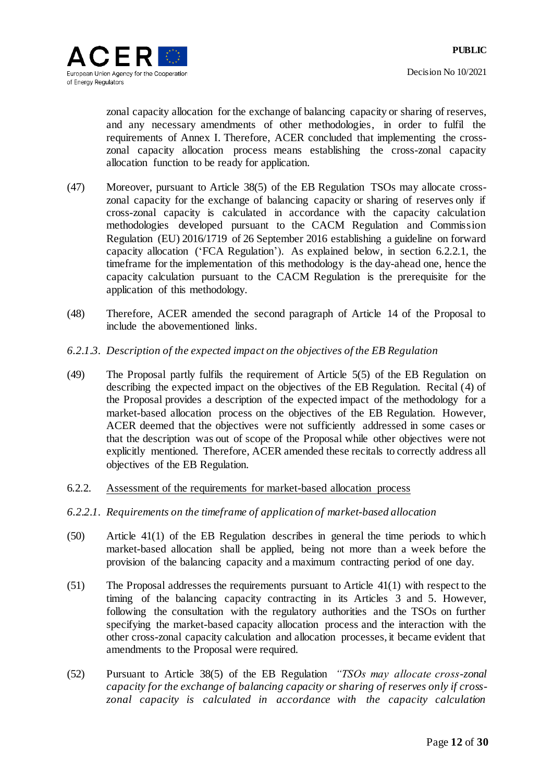zonal capacity allocation for the exchange of balancing capacity or sharing of reserves, and any necessary amendments of other methodologies, in order to fulfil the requirements of Annex I. Therefore, ACER concluded that implementing the crosszonal capacity allocation process means establishing the cross-zonal capacity allocation function to be ready for application.

- (47) Moreover, pursuant to Article 38(5) of the EB Regulation TSOs may allocate crosszonal capacity for the exchange of balancing capacity or sharing of reserves only if cross-zonal capacity is calculated in accordance with the capacity calculation methodologies developed pursuant to the CACM Regulation and Commission Regulation (EU) 2016/1719 of 26 September 2016 establishing a guideline on forward capacity allocation ('FCA Regulation'). As explained below, in section [6.2.2.1,](#page-11-0) the timeframe for the implementation of this methodology is the day-ahead one, hence the capacity calculation pursuant to the CACM Regulation is the prerequisite for the application of this methodology.
- (48) Therefore, ACER amended the second paragraph of Article 14 of the Proposal to include the abovementioned links.
- *6.2.1.3. Description of the expected impact on the objectives of the EB Regulation*
- (49) The Proposal partly fulfils the requirement of Article 5(5) of the EB Regulation on describing the expected impact on the objectives of the EB Regulation. Recital (4) of the Proposal provides a description of the expected impact of the methodology for a market-based allocation process on the objectives of the EB Regulation. However, ACER deemed that the objectives were not sufficiently addressed in some cases or that the description was out of scope of the Proposal while other objectives were not explicitly mentioned. Therefore, ACER amended these recitals to correctly address all objectives of the EB Regulation.
- 6.2.2. Assessment of the requirements for market-based allocation process
- <span id="page-11-0"></span>*6.2.2.1. Requirements on the timeframe of application of market-based allocation*
- (50) Article 41(1) of the EB Regulation describes in general the time periods to which market-based allocation shall be applied, being not more than a week before the provision of the balancing capacity and a maximum contracting period of one day.
- (51) The Proposal addresses the requirements pursuant to Article 41(1) with respect to the timing of the balancing capacity contracting in its Articles 3 and 5. However, following the consultation with the regulatory authorities and the TSOs on further specifying the market-based capacity allocation process and the interaction with the other cross-zonal capacity calculation and allocation processes, it became evident that amendments to the Proposal were required.
- (52) Pursuant to Article 38(5) of the EB Regulation *"TSOs may allocate cross-zonal capacity for the exchange of balancing capacity or sharing of reserves only if crosszonal capacity is calculated in accordance with the capacity calculation*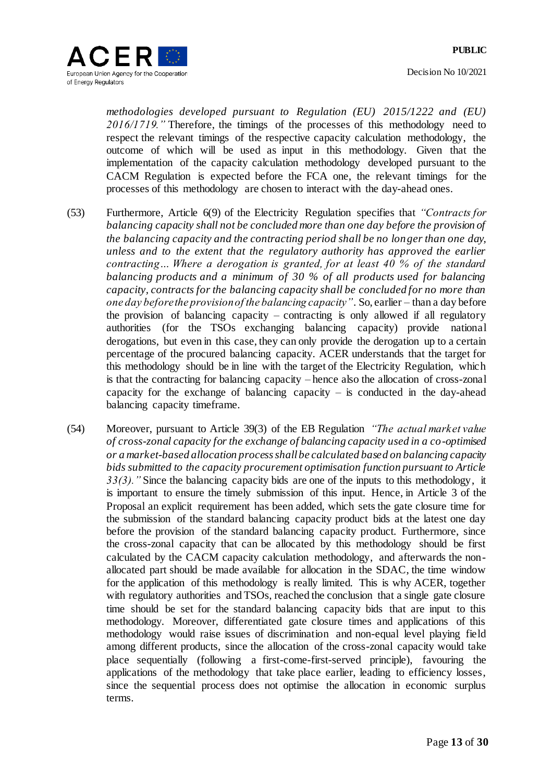

*methodologies developed pursuant to Regulation (EU) 2015/1222 and (EU) 2016/1719."* Therefore, the timings of the processes of this methodology need to respect the relevant timings of the respective capacity calculation methodology, the outcome of which will be used as input in this methodology. Given that the implementation of the capacity calculation methodology developed pursuant to the CACM Regulation is expected before the FCA one, the relevant timings for the processes of this methodology are chosen to interact with the day-ahead ones.

- (53) Furthermore, Article 6(9) of the Electricity Regulation specifies that *"Contracts for balancing capacity shall not be concluded more than one day before the provision of the balancing capacity and the contracting period shall be no longer than one day, unless and to the extent that the regulatory authority has approved the earlier contracting… Where a derogation is granted, for at least 40 % of the standard balancing products and a minimum of 30 % of all products used for balancing capacity, contracts for the balancing capacity shall be concluded for no more than one day before the provision of the balancing capacity"*. So, earlier – than a day before the provision of balancing capacity – contracting is only allowed if all regulatory authorities (for the TSOs exchanging balancing capacity) provide national derogations, but even in this case, they can only provide the derogation up to a certain percentage of the procured balancing capacity. ACER understands that the target for this methodology should be in line with the target of the Electricity Regulation, which is that the contracting for balancing capacity – hence also the allocation of cross-zonal capacity for the exchange of balancing capacity – is conducted in the day-ahead balancing capacity timeframe.
- <span id="page-12-0"></span>(54) Moreover, pursuant to Article 39(3) of the EB Regulation *"The actual market value of cross-zonal capacity for the exchange of balancing capacity used in a co-optimised or a market-based allocation process shall be calculated based on balancing capacity bids submitted to the capacity procurement optimisation function pursuant to Article 33(3)."* Since the balancing capacity bids are one of the inputs to this methodology, it is important to ensure the timely submission of this input. Hence, in Article 3 of the Proposal an explicit requirement has been added, which sets the gate closure time for the submission of the standard balancing capacity product bids at the latest one day before the provision of the standard balancing capacity product. Furthermore, since the cross-zonal capacity that can be allocated by this methodology should be first calculated by the CACM capacity calculation methodology, and afterwards the nonallocated part should be made available for allocation in the SDAC, the time window for the application of this methodology is really limited. This is why ACER, together with regulatory authorities and TSOs, reached the conclusion that a single gate closure time should be set for the standard balancing capacity bids that are input to this methodology. Moreover, differentiated gate closure times and applications of this methodology would raise issues of discrimination and non-equal level playing field among different products, since the allocation of the cross-zonal capacity would take place sequentially (following a first-come-first-served principle), favouring the applications of the methodology that take place earlier, leading to efficiency losses, since the sequential process does not optimise the allocation in economic surplus terms.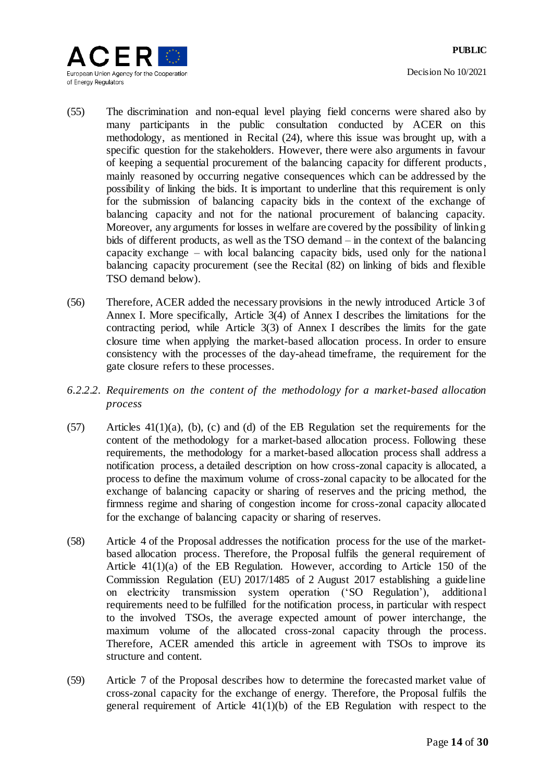Decision No 10/2021



- (55) The discrimination and non-equal level playing field concerns were shared also by many participants in the public consultation conducted by ACER on this methodology, as mentioned in Recital [\(24\),](#page-5-2) where this issue was brought up, with a specific question for the stakeholders. However, there were also arguments in favour of keeping a sequential procurement of the balancing capacity for different products, mainly reasoned by occurring negative consequences which can be addressed by the possibility of linking the bids. It is important to underline that this requirement is only for the submission of balancing capacity bids in the context of the exchange of balancing capacity and not for the national procurement of balancing capacity. Moreover, any arguments for losses in welfare are covered by the possibility of linking bids of different products, as well as the TSO demand – in the context of the balancing capacity exchange – with local balancing capacity bids, used only for the national balancing capacity procurement (see the Recital [\(82\)](#page-20-0) on linking of bids and flexible TSO demand below).
- <span id="page-13-0"></span>(56) Therefore, ACER added the necessary provisions in the newly introduced Article 3 of Annex I. More specifically, Article 3(4) of Annex I describes the limitations for the contracting period, while Article 3(3) of Annex I describes the limits for the gate closure time when applying the market-based allocation process. In order to ensure consistency with the processes of the day-ahead timeframe, the requirement for the gate closure refers to these processes.
- *6.2.2.2. Requirements on the content of the methodology for a market-based allocation process*
- (57) Articles 41(1)(a), (b), (c) and (d) of the EB Regulation set the requirements for the content of the methodology for a market-based allocation process. Following these requirements, the methodology for a market-based allocation process shall address a notification process, a detailed description on how cross-zonal capacity is allocated, a process to define the maximum volume of cross-zonal capacity to be allocated for the exchange of balancing capacity or sharing of reserves and the pricing method, the firmness regime and sharing of congestion income for cross-zonal capacity allocated for the exchange of balancing capacity or sharing of reserves.
- (58) Article 4 of the Proposal addresses the notification process for the use of the marketbased allocation process. Therefore, the Proposal fulfils the general requirement of Article 41(1)(a) of the EB Regulation. However, according to Article 150 of the Commission Regulation (EU) 2017/1485 of 2 August 2017 establishing a guideline on electricity transmission system operation ('SO Regulation'), additional requirements need to be fulfilled for the notification process, in particular with respect to the involved TSOs, the average expected amount of power interchange, the maximum volume of the allocated cross-zonal capacity through the process. Therefore, ACER amended this article in agreement with TSOs to improve its structure and content.
- (59) Article 7 of the Proposal describes how to determine the forecasted market value of cross-zonal capacity for the exchange of energy. Therefore, the Proposal fulfils the general requirement of Article  $41(1)(b)$  of the EB Regulation with respect to the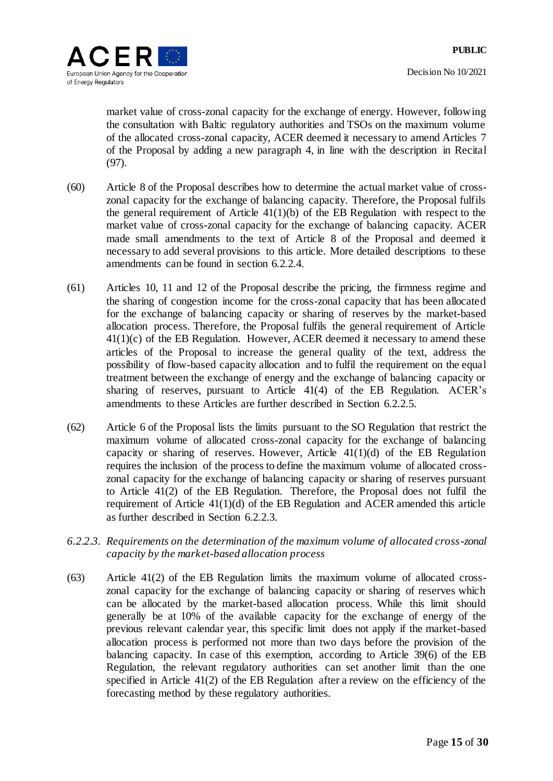

market value of cross-zonal capacity for the exchange of energy. However, following the consultation with Baltic regulatory authorities and TSOs on the maximum volume of the allocated cross-zonal capacity, ACER deemed it necessary to amend Articles 7 of the Proposal by adding a new paragraph 4, in line with the description in Recital [\(97\).](#page-25-0)

- (60) Article 8 of the Proposal describes how to determine the actual market value of crosszonal capacity for the exchange of balancing capacity. Therefore, the Proposal fulfils the general requirement of Article  $41(1)(b)$  of the EB Regulation with respect to the market value of cross-zonal capacity for the exchange of balancing capacity. ACER made small amendments to the text of Article 8 of the Proposal and deemed it necessary to add several provisions to this article. More detailed descriptions to these amendments can be found in section [6.2.2.4.](#page-20-1)
- (61) Articles 10, 11 and 12 of the Proposal describe the pricing, the firmness regime and the sharing of congestion income for the cross-zonal capacity that has been allocated for the exchange of balancing capacity or sharing of reserves by the market-based allocation process. Therefore, the Proposal fulfils the general requirement of Article  $41(1)(c)$  of the EB Regulation. However, ACER deemed it necessary to amend these articles of the Proposal to increase the general quality of the text, address the possibility of flow-based capacity allocation and to fulfil the requirement on the equal treatment between the exchange of energy and the exchange of balancing capacity or sharing of reserves, pursuant to Article 41(4) of the EB Regulation. ACER's amendments to these Articles are further described in Section [6.2.2.5.](#page-22-0)
- (62) Article 6 of the Proposal lists the limits pursuant to the SO Regulation that restrict the maximum volume of allocated cross-zonal capacity for the exchange of balancing capacity or sharing of reserves. However, Article  $41(1)(d)$  of the EB Regulation requires the inclusion of the process to define the maximum volume of allocated crosszonal capacity for the exchange of balancing capacity or sharing of reserves pursuant to Article 41(2) of the EB Regulation. Therefore, the Proposal does not fulfil the requirement of Article 41(1)(d) of the EB Regulation and ACER amended this article as further described in Section [6.2.2.3.](#page-14-0)
- <span id="page-14-0"></span>*6.2.2.3. Requirements on the determination of the maximum volume of allocated cross-zonal capacity by the market-based allocation process*
- (63) Article 41(2) of the EB Regulation limits the maximum volume of allocated crosszonal capacity for the exchange of balancing capacity or sharing of reserves which can be allocated by the market-based allocation process. While this limit should generally be at 10% of the available capacity for the exchange of energy of the previous relevant calendar year, this specific limit does not apply if the market-based allocation process is performed not more than two days before the provision of the balancing capacity. In case of this exemption, according to Article 39(6) of the EB Regulation, the relevant regulatory authorities can set another limit than the one specified in Article 41(2) of the EB Regulation after a review on the efficiency of the forecasting method by these regulatory authorities.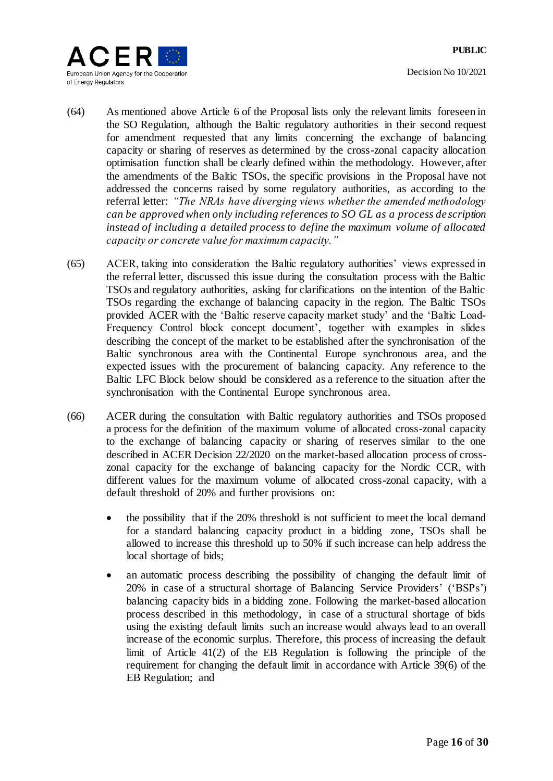

- (64) As mentioned above Article 6 of the Proposal lists only the relevant limits foreseen in the SO Regulation, although the Baltic regulatory authorities in their second request for amendment requested that any limits concerning the exchange of balancing capacity or sharing of reserves as determined by the cross-zonal capacity allocation optimisation function shall be clearly defined within the methodology. However, after the amendments of the Baltic TSOs, the specific provisions in the Proposal have not addressed the concerns raised by some regulatory authorities, as according to the referral letter: *"The NRAs have diverging views whether the amended methodology can be approved when only including references to SO GL as a process de scription instead of including a detailed process to define the maximum volume of allocated capacity or concrete value for maximum capacity."*
- (65) ACER, taking into consideration the Baltic regulatory authorities' views expressed in the referral letter, discussed this issue during the consultation process with the Baltic TSOs and regulatory authorities, asking for clarifications on the intention of the Baltic TSOs regarding the exchange of balancing capacity in the region. The Baltic TSOs provided ACER with the 'Baltic reserve capacity market study' and the 'Baltic Load-Frequency Control block concept document', together with examples in slides describing the concept of the market to be established after the synchronisation of the Baltic synchronous area with the Continental Europe synchronous area, and the expected issues with the procurement of balancing capacity. Any reference to the Baltic LFC Block below should be considered as a reference to the situation after the synchronisation with the Continental Europe synchronous area.
- (66) ACER during the consultation with Baltic regulatory authorities and TSOs proposed a process for the definition of the maximum volume of allocated cross-zonal capacity to the exchange of balancing capacity or sharing of reserves similar to the one described in ACER Decision 22/2020 on the market-based allocation process of crosszonal capacity for the exchange of balancing capacity for the Nordic CCR, with different values for the maximum volume of allocated cross-zonal capacity, with a default threshold of 20% and further provisions on:
	- the possibility that if the 20% threshold is not sufficient to meet the local demand for a standard balancing capacity product in a bidding zone, TSOs shall be allowed to increase this threshold up to 50% if such increase can help address the local shortage of bids;
	- an automatic process describing the possibility of changing the default limit of 20% in case of a structural shortage of Balancing Service Providers' ('BSPs') balancing capacity bids in a bidding zone. Following the market-based allocation process described in this methodology, in case of a structural shortage of bids using the existing default limits such an increase would always lead to an overall increase of the economic surplus. Therefore, this process of increasing the default limit of Article 41(2) of the EB Regulation is following the principle of the requirement for changing the default limit in accordance with Article 39(6) of the EB Regulation; and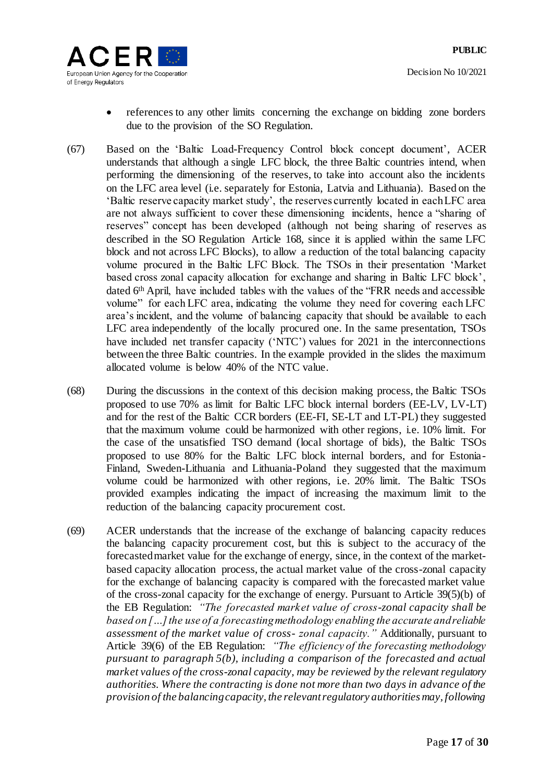

- references to any other limits concerning the exchange on bidding zone borders due to the provision of the SO Regulation.
- (67) Based on the 'Baltic Load-Frequency Control block concept document', ACER understands that although a single LFC block, the three Baltic countries intend, when performing the dimensioning of the reserves, to take into account also the incidents on the LFC area level (i.e. separately for Estonia, Latvia and Lithuania). Based on the 'Baltic reserve capacity market study', the reserves currently located in each LFC area are not always sufficient to cover these dimensioning incidents, hence a "sharing of reserves" concept has been developed (although not being sharing of reserves as described in the SO Regulation Article 168, since it is applied within the same LFC block and not across LFC Blocks), to allow a reduction of the total balancing capacity volume procured in the Baltic LFC Block. The TSOs in their presentation 'Market based cross zonal capacity allocation for exchange and sharing in Baltic LFC block', dated 6th April, have included tables with the values of the "FRR needs and accessible volume" for each LFC area, indicating the volume they need for covering each LFC area's incident, and the volume of balancing capacity that should be available to each LFC area independently of the locally procured one. In the same presentation, TSOs have included net transfer capacity ('NTC') values for 2021 in the interconnections between the three Baltic countries. In the example provided in the slides the maximum allocated volume is below 40% of the NTC value.
- (68) During the discussions in the context of this decision making process, the Baltic TSOs proposed to use 70% as limit for Baltic LFC block internal borders (EE-LV, LV-LT) and for the rest of the Baltic CCR borders (EE-FI, SE-LT and LT-PL) they suggested that the maximum volume could be harmonized with other regions, i.e. 10% limit. For the case of the unsatisfied TSO demand (local shortage of bids), the Baltic TSOs proposed to use 80% for the Baltic LFC block internal borders, and for Estonia-Finland, Sweden-Lithuania and Lithuania-Poland they suggested that the maximum volume could be harmonized with other regions, i.e. 20% limit. The Baltic TSOs provided examples indicating the impact of increasing the maximum limit to the reduction of the balancing capacity procurement cost.
- (69) ACER understands that the increase of the exchange of balancing capacity reduces the balancing capacity procurement cost, but this is subject to the accuracy of the forecasted market value for the exchange of energy, since, in the context of the marketbased capacity allocation process, the actual market value of the cross-zonal capacity for the exchange of balancing capacity is compared with the forecasted market value of the cross-zonal capacity for the exchange of energy. Pursuant to Article 39(5)(b) of the EB Regulation: *"The forecasted market value of cross-zonal capacity shall be based on […] the use of a forecasting methodology enabling the accurate and reliable assessment of the market value of cross- zonal capacity."* Additionally, pursuant to Article 39(6) of the EB Regulation: *"The efficiency of the forecasting methodology pursuant to paragraph 5(b), including a comparison of the forecasted and actual market values of the cross-zonal capacity, may be reviewed by the relevant regulatory authorities. Where the contracting is done not more than two days in advance of the provision of the balancing capacity, the relevant regulatory authorities may, following*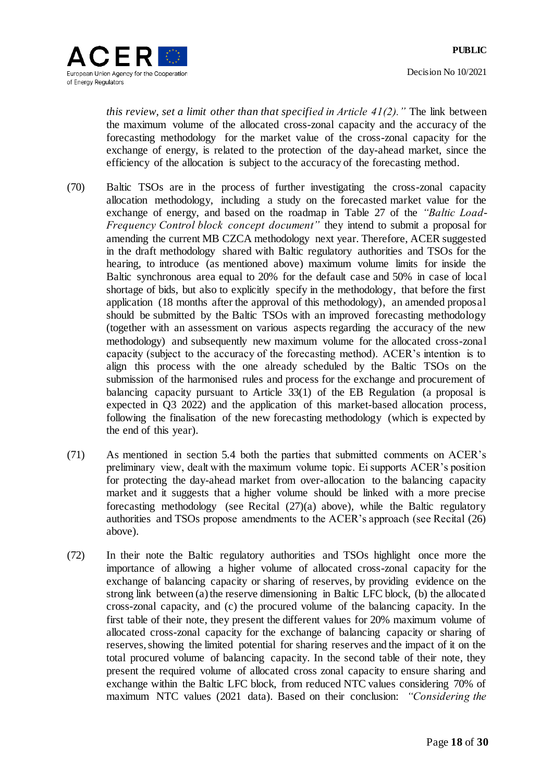

*this review, set a limit other than that specified in Article 41(2)."* The link between the maximum volume of the allocated cross-zonal capacity and the accuracy of the forecasting methodology for the market value of the cross-zonal capacity for the exchange of energy, is related to the protection of the day-ahead market, since the efficiency of the allocation is subject to the accuracy of the forecasting method.

- <span id="page-17-1"></span>(70) Baltic TSOs are in the process of further investigating the cross-zonal capacity allocation methodology, including a study on the forecasted market value for the exchange of energy, and based on the roadmap in Table 27 of the *"Baltic Load-Frequency Control block concept document"* they intend to submit a proposal for amending the current MB CZCA methodology next year. Therefore, ACER suggested in the draft methodology shared with Baltic regulatory authorities and TSOs for the hearing, to introduce (as mentioned above) maximum volume limits for inside the Baltic synchronous area equal to 20% for the default case and 50% in case of local shortage of bids, but also to explicitly specify in the methodology, that before the first application (18 months after the approval of this methodology), an amended proposal should be submitted by the Baltic TSOs with an improved forecasting methodology (together with an assessment on various aspects regarding the accuracy of the new methodology) and subsequently new maximum volume for the allocated cross-zonal capacity (subject to the accuracy of the forecasting method). ACER's intention is to align this process with the one already scheduled by the Baltic TSOs on the submission of the harmonised rules and process for the exchange and procurement of balancing capacity pursuant to Article 33(1) of the EB Regulation (a proposal is expected in Q3 2022) and the application of this market-based allocation process, following the finalisation of the new forecasting methodology (which is expected by the end of this year).
- (71) As mentioned in section [5.4](#page-5-1) both the parties that submitted comments on ACER's preliminary view, dealt with the maximum volume topic. Ei supports ACER's position for protecting the day-ahead market from over-allocation to the balancing capacity market and it suggests that a higher volume should be linked with a more precise forecasting methodology (see Recital  $(27)(a)$  above), while the Baltic regulatory authorities and TSOs propose amendments to the ACER's approach (see Recital [\(26\)](#page-6-1) above).
- <span id="page-17-0"></span>(72) In their note the Baltic regulatory authorities and TSOs highlight once more the importance of allowing a higher volume of allocated cross-zonal capacity for the exchange of balancing capacity or sharing of reserves, by providing evidence on the strong link between (a) the reserve dimensioning in Baltic LFC block, (b) the allocated cross-zonal capacity, and (c) the procured volume of the balancing capacity. In the first table of their note, they present the different values for 20% maximum volume of allocated cross-zonal capacity for the exchange of balancing capacity or sharing of reserves, showing the limited potential for sharing reserves and the impact of it on the total procured volume of balancing capacity. In the second table of their note, they present the required volume of allocated cross zonal capacity to ensure sharing and exchange within the Baltic LFC block, from reduced NTC values considering 70% of maximum NTC values (2021 data). Based on their conclusion: *"Considering the*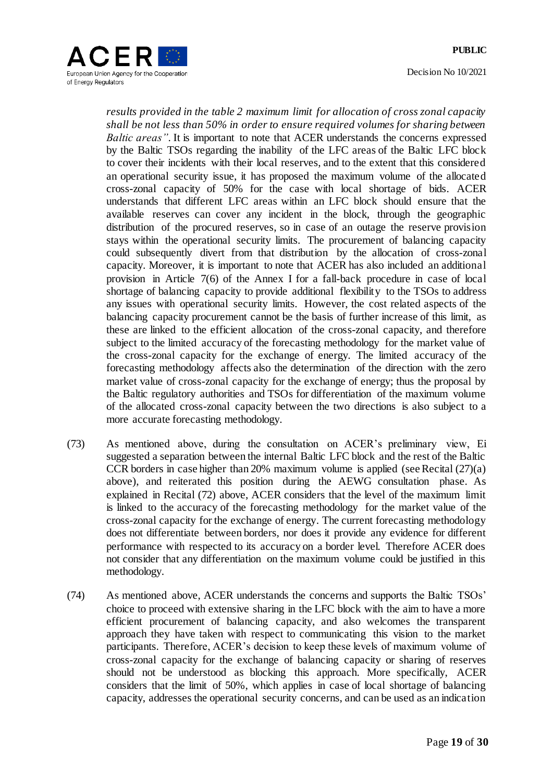

Decision No 10/2021



*results provided in the table 2 maximum limit for allocation of cross zonal capacity shall be not less than 50% in order to ensure required volumes for sharing between Baltic areas"*. It is important to note that ACER understands the concerns expressed by the Baltic TSOs regarding the inability of the LFC areas of the Baltic LFC block to cover their incidents with their local reserves, and to the extent that this considered an operational security issue, it has proposed the maximum volume of the allocated cross-zonal capacity of 50% for the case with local shortage of bids. ACER understands that different LFC areas within an LFC block should ensure that the available reserves can cover any incident in the block, through the geographic distribution of the procured reserves, so in case of an outage the reserve provision stays within the operational security limits. The procurement of balancing capacity could subsequently divert from that distribution by the allocation of cross-zonal capacity. Moreover, it is important to note that ACER has also included an additional provision in Article 7(6) of the Annex I for a fall-back procedure in case of local shortage of balancing capacity to provide additional flexibility to the TSOs to address any issues with operational security limits. However, the cost related aspects of the balancing capacity procurement cannot be the basis of further increase of this limit, as these are linked to the efficient allocation of the cross-zonal capacity, and therefore subject to the limited accuracy of the forecasting methodology for the market value of the cross-zonal capacity for the exchange of energy. The limited accuracy of the forecasting methodology affects also the determination of the direction with the zero market value of cross-zonal capacity for the exchange of energy; thus the proposal by the Baltic regulatory authorities and TSOs for differentiation of the maximum volume of the allocated cross-zonal capacity between the two directions is also subject to a more accurate forecasting methodology.

- (73) As mentioned above, during the consultation on ACER's preliminary view, Ei suggested a separation between the internal Baltic LFC block and the rest of the Baltic CCR borders in case higher than 20% maximum volume is applied (see Recital [\(27\)\(a\)](#page-6-0) above), and reiterated this position during the AEWG consultation phase. As explained in Recital [\(72\)](#page-17-0) above, ACER considers that the level of the maximum limit is linked to the accuracy of the forecasting methodology for the market value of the cross-zonal capacity for the exchange of energy. The current forecasting methodology does not differentiate between borders, nor does it provide any evidence for different performance with respected to its accuracy on a border level. Therefore ACER does not consider that any differentiation on the maximum volume could be justified in this methodology.
- (74) As mentioned above, ACER understands the concerns and supports the Baltic TSOs' choice to proceed with extensive sharing in the LFC block with the aim to have a more efficient procurement of balancing capacity, and also welcomes the transparent approach they have taken with respect to communicating this vision to the market participants. Therefore, ACER's decision to keep these levels of maximum volume of cross-zonal capacity for the exchange of balancing capacity or sharing of reserves should not be understood as blocking this approach. More specifically, ACER considers that the limit of 50%, which applies in case of local shortage of balancing capacity, addresses the operational security concerns, and can be used as an indication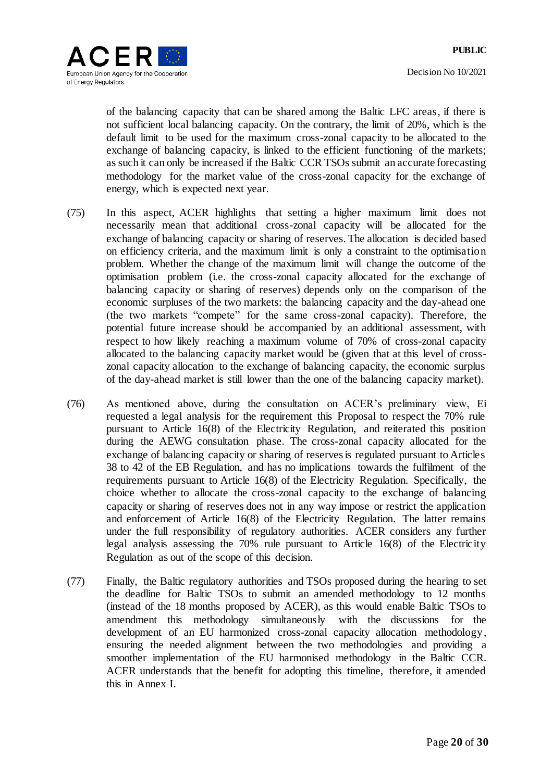

of the balancing capacity that can be shared among the Baltic LFC areas, if there is not sufficient local balancing capacity. On the contrary, the limit of 20%, which is the default limit to be used for the maximum cross-zonal capacity to be allocated to the exchange of balancing capacity, is linked to the efficient functioning of the markets; as such it can only be increased if the Baltic CCR TSOs submit an accurate forecasting methodology for the market value of the cross-zonal capacity for the exchange of energy, which is expected next year.

- (75) In this aspect, ACER highlights that setting a higher maximum limit does not necessarily mean that additional cross-zonal capacity will be allocated for the exchange of balancing capacity or sharing of reserves. The allocation is decided based on efficiency criteria, and the maximum limit is only a constraint to the optimisation problem. Whether the change of the maximum limit will change the outcome of the optimisation problem (i.e. the cross-zonal capacity allocated for the exchange of balancing capacity or sharing of reserves) depends only on the comparison of the economic surpluses of the two markets: the balancing capacity and the day-ahead one (the two markets "compete" for the same cross-zonal capacity). Therefore, the potential future increase should be accompanied by an additional assessment, with respect to how likely reaching a maximum volume of 70% of cross-zonal capacity allocated to the balancing capacity market would be (given that at this level of crosszonal capacity allocation to the exchange of balancing capacity, the economic surplus of the day-ahead market is still lower than the one of the balancing capacity market).
- (76) As mentioned above, during the consultation on ACER's preliminary view, Ei requested a legal analysis for the requirement this Proposal to respect the 70% rule pursuant to Article 16(8) of the Electricity Regulation, and reiterated this position during the AEWG consultation phase. The cross-zonal capacity allocated for the exchange of balancing capacity or sharing of reserves is regulated pursuant to Articles 38 to 42 of the EB Regulation, and has no implications towards the fulfilment of the requirements pursuant to Article 16(8) of the Electricity Regulation. Specifically, the choice whether to allocate the cross-zonal capacity to the exchange of balancing capacity or sharing of reserves does not in any way impose or restrict the application and enforcement of Article 16(8) of the Electricity Regulation. The latter remains under the full responsibility of regulatory authorities. ACER considers any further legal analysis assessing the 70% rule pursuant to Article 16(8) of the Electricity Regulation as out of the scope of this decision.
- (77) Finally, the Baltic regulatory authorities and TSOs proposed during the hearing to set the deadline for Baltic TSOs to submit an amended methodology to 12 months (instead of the 18 months proposed by ACER), as this would enable Baltic TSOs to amendment this methodology simultaneously with the discussions for the development of an EU harmonized cross-zonal capacity allocation methodology, ensuring the needed alignment between the two methodologies and providing a smoother implementation of the EU harmonised methodology in the Baltic CCR. ACER understands that the benefit for adopting this timeline, therefore, it amended this in Annex I.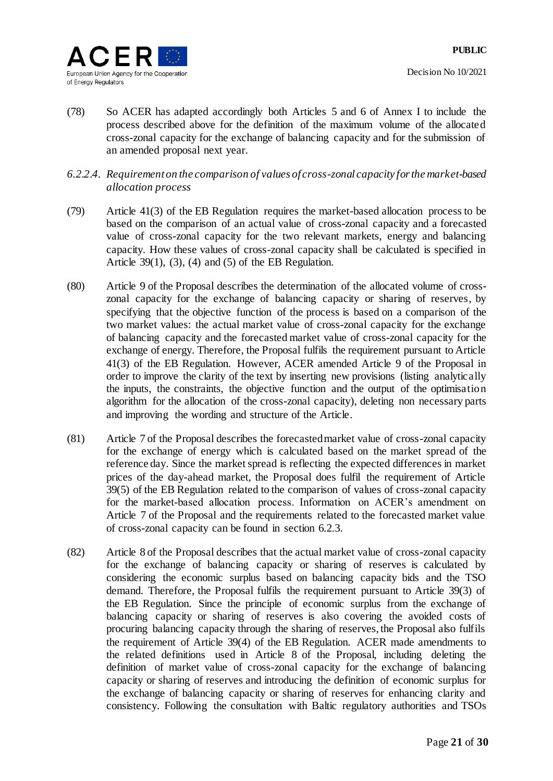

- (78) So ACER has adapted accordingly both Articles 5 and 6 of Annex I to include the process described above for the definition of the maximum volume of the allocated cross-zonal capacity for the exchange of balancing capacity and for the submission of an amended proposal next year.
- <span id="page-20-1"></span>*6.2.2.4. Requirement on the comparison of values of cross-zonal capacity for the market-based allocation process*
- (79) Article 41(3) of the EB Regulation requires the market-based allocation process to be based on the comparison of an actual value of cross-zonal capacity and a forecasted value of cross-zonal capacity for the two relevant markets, energy and balancing capacity. How these values of cross-zonal capacity shall be calculated is specified in Article 39(1), (3), (4) and (5) of the EB Regulation.
- (80) Article 9 of the Proposal describes the determination of the allocated volume of crosszonal capacity for the exchange of balancing capacity or sharing of reserves, by specifying that the objective function of the process is based on a comparison of the two market values: the actual market value of cross-zonal capacity for the exchange of balancing capacity and the forecasted market value of cross-zonal capacity for the exchange of energy. Therefore, the Proposal fulfils the requirement pursuant to Article 41(3) of the EB Regulation. However, ACER amended Article 9 of the Proposal in order to improve the clarity of the text by inserting new provisions (listing analytically the inputs, the constraints, the objective function and the output of the optimisation algorithm for the allocation of the cross-zonal capacity), deleting non necessary parts and improving the wording and structure of the Article.
- (81) Article 7 of the Proposal describes the forecasted market value of cross-zonal capacity for the exchange of energy which is calculated based on the market spread of the reference day. Since the market spread is reflecting the expected differences in market prices of the day-ahead market, the Proposal does fulfil the requirement of Article 39(5) of the EB Regulation related to the comparison of values of cross-zonal capacity for the market-based allocation process. Information on ACER's amendment on Article 7 of the Proposal and the requirements related to the forecasted market value of cross-zonal capacity can be found in section [6.2.3.](#page-25-1)
- <span id="page-20-0"></span>(82) Article 8 of the Proposal describes that the actual market value of cross-zonal capacity for the exchange of balancing capacity or sharing of reserves is calculated by considering the economic surplus based on balancing capacity bids and the TSO demand. Therefore, the Proposal fulfils the requirement pursuant to Article 39(3) of the EB Regulation. Since the principle of economic surplus from the exchange of balancing capacity or sharing of reserves is also covering the avoided costs of procuring balancing capacity through the sharing of reserves, the Proposal also fulfils the requirement of Article 39(4) of the EB Regulation. ACER made amendments to the related definitions used in Article 8 of the Proposal, including deleting the definition of market value of cross-zonal capacity for the exchange of balancing capacity or sharing of reserves and introducing the definition of economic surplus for the exchange of balancing capacity or sharing of reserves for enhancing clarity and consistency. Following the consultation with Baltic regulatory authorities and TSOs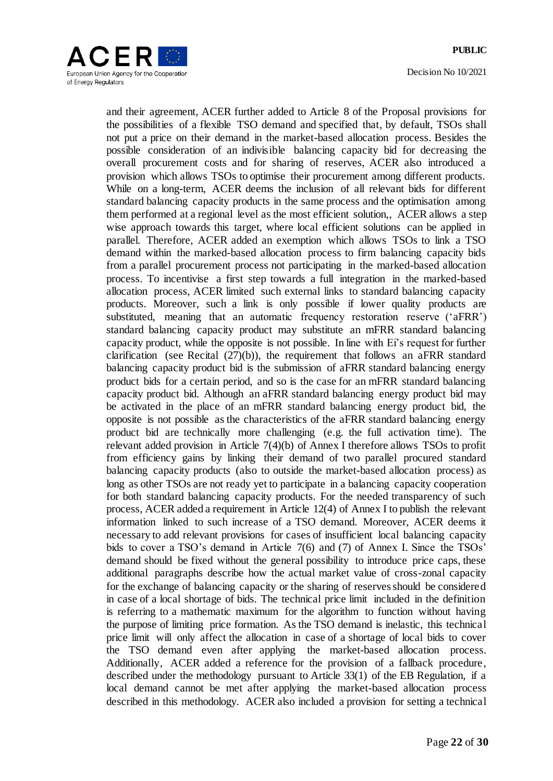

and their agreement, ACER further added to Article 8 of the Proposal provisions for the possibilities of a flexible TSO demand and specified that, by default, TSOs shall not put a price on their demand in the market-based allocation process. Besides the possible consideration of an indivisible balancing capacity bid for decreasing the overall procurement costs and for sharing of reserves, ACER also introduced a provision which allows TSOs to optimise their procurement among different products. While on a long-term, ACER deems the inclusion of all relevant bids for different standard balancing capacity products in the same process and the optimisation among them performed at a regional level as the most efficient solution,, ACER allows a step wise approach towards this target, where local efficient solutions can be applied in parallel. Therefore, ACER added an exemption which allows TSOs to link a TSO demand within the marked-based allocation process to firm balancing capacity bids from a parallel procurement process not participating in the marked-based allocation process. To incentivise a first step towards a full integration in the marked-based allocation process, ACER limited such external links to standard balancing capacity products. Moreover, such a link is only possible if lower quality products are substituted, meaning that an automatic frequency restoration reserve ('aFRR') standard balancing capacity product may substitute an mFRR standard balancing capacity product, while the opposite is not possible. In line with Ei's request for further clarification (see Recital  $(27)(b)$ ), the requirement that follows an aFRR standard balancing capacity product bid is the submission of aFRR standard balancing energy product bids for a certain period, and so is the case for an mFRR standard balancing capacity product bid. Although an aFRR standard balancing energy product bid may be activated in the place of an mFRR standard balancing energy product bid, the opposite is not possible as the characteristics of the aFRR standard balancing energy product bid are technically more challenging (e.g. the full activation time). The relevant added provision in Article 7(4)(b) of Annex I therefore allows TSOs to profit from efficiency gains by linking their demand of two parallel procured standard balancing capacity products (also to outside the market-based allocation process) as long as other TSOs are not ready yet to participate in a balancing capacity cooperation for both standard balancing capacity products. For the needed transparency of such process, ACER added a requirement in Article 12(4) of Annex I to publish the relevant information linked to such increase of a TSO demand. Moreover, ACER deems it necessary to add relevant provisions for cases of insufficient local balancing capacity bids to cover a TSO's demand in Article 7(6) and (7) of Annex I. Since the TSOs' demand should be fixed without the general possibility to introduce price caps, these additional paragraphs describe how the actual market value of cross-zonal capacity for the exchange of balancing capacity or the sharing of reserves should be considered in case of a local shortage of bids. The technical price limit included in the definition is referring to a mathematic maximum for the algorithm to function without having the purpose of limiting price formation. As the TSO demand is inelastic, this technical price limit will only affect the allocation in case of a shortage of local bids to cover the TSO demand even after applying the market-based allocation process. Additionally, ACER added a reference for the provision of a fallback procedure, described under the methodology pursuant to Article 33(1) of the EB Regulation, if a local demand cannot be met after applying the market-based allocation process described in this methodology. ACER also included a provision for setting a technical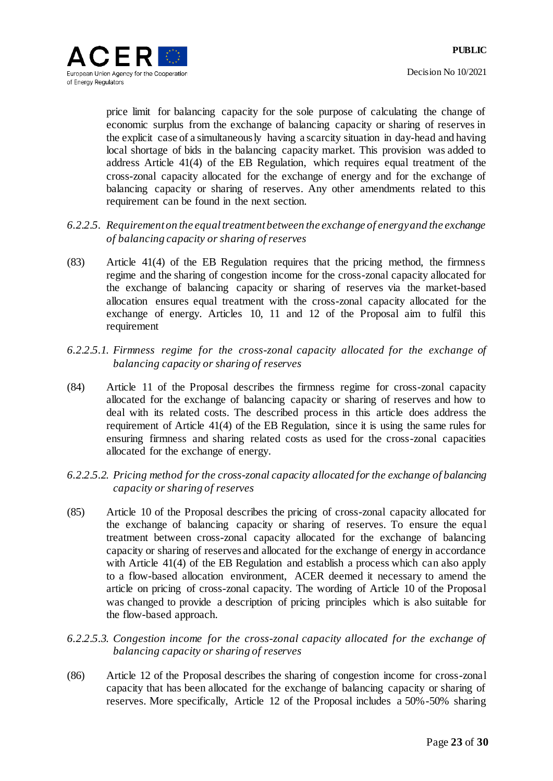

price limit for balancing capacity for the sole purpose of calculating the change of economic surplus from the exchange of balancing capacity or sharing of reserves in the explicit case of a simultaneously having a scarcity situation in day-head and having local shortage of bids in the balancing capacity market. This provision was added to address Article 41(4) of the EB Regulation, which requires equal treatment of the cross-zonal capacity allocated for the exchange of energy and for the exchange of balancing capacity or sharing of reserves. Any other amendments related to this requirement can be found in the next section.

- <span id="page-22-0"></span>*6.2.2.5. Requirement on the equal treatment between the exchange of energy and the exchange of balancing capacity or sharing of reserves*
- (83) Article 41(4) of the EB Regulation requires that the pricing method, the firmness regime and the sharing of congestion income for the cross-zonal capacity allocated for the exchange of balancing capacity or sharing of reserves via the market-based allocation ensures equal treatment with the cross-zonal capacity allocated for the exchange of energy. Articles 10, 11 and 12 of the Proposal aim to fulfil this requirement
- *6.2.2.5.1. Firmness regime for the cross-zonal capacity allocated for the exchange of balancing capacity or sharing of reserves*
- (84) Article 11 of the Proposal describes the firmness regime for cross-zonal capacity allocated for the exchange of balancing capacity or sharing of reserves and how to deal with its related costs. The described process in this article does address the requirement of Article 41(4) of the EB Regulation, since it is using the same rules for ensuring firmness and sharing related costs as used for the cross-zonal capacities allocated for the exchange of energy.
- *6.2.2.5.2. Pricing method for the cross-zonal capacity allocated for the exchange of balancing capacity or sharing of reserves*
- (85) Article 10 of the Proposal describes the pricing of cross-zonal capacity allocated for the exchange of balancing capacity or sharing of reserves. To ensure the equal treatment between cross-zonal capacity allocated for the exchange of balancing capacity or sharing of reserves and allocated for the exchange of energy in accordance with Article 41(4) of the EB Regulation and establish a process which can also apply to a flow-based allocation environment, ACER deemed it necessary to amend the article on pricing of cross-zonal capacity. The wording of Article 10 of the Proposal was changed to provide a description of pricing principles which is also suitable for the flow-based approach.
- *6.2.2.5.3. Congestion income for the cross-zonal capacity allocated for the exchange of balancing capacity or sharing of reserves*
- (86) Article 12 of the Proposal describes the sharing of congestion income for cross-zonal capacity that has been allocated for the exchange of balancing capacity or sharing of reserves. More specifically, Article 12 of the Proposal includes a 50%-50% sharing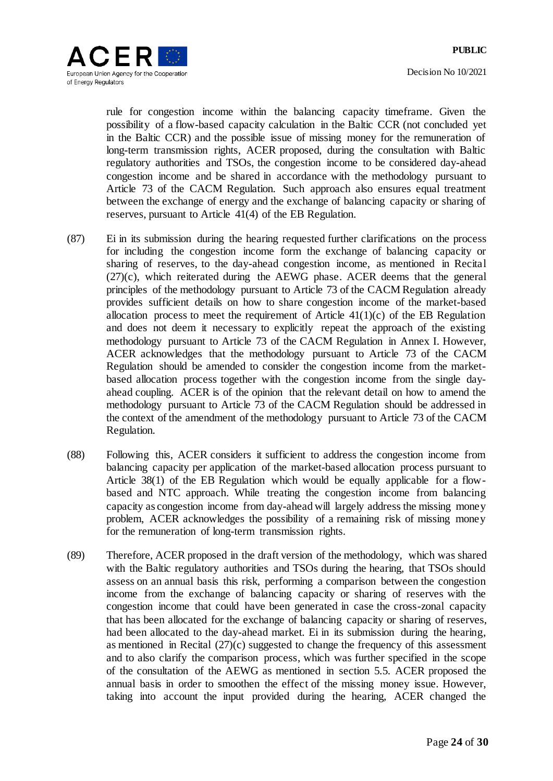

rule for congestion income within the balancing capacity timeframe. Given the possibility of a flow-based capacity calculation in the Baltic CCR (not concluded yet in the Baltic CCR) and the possible issue of missing money for the remuneration of long-term transmission rights, ACER proposed, during the consultation with Baltic regulatory authorities and TSOs, the congestion income to be considered day-ahead congestion income and be shared in accordance with the methodology pursuant to Article 73 of the CACM Regulation. Such approach also ensures equal treatment between the exchange of energy and the exchange of balancing capacity or sharing of reserves, pursuant to Article 41(4) of the EB Regulation.

- (87) Ei in its submission during the hearing requested further clarifications on the process for including the congestion income form the exchange of balancing capacity or sharing of reserves, to the day-ahead congestion income, as mentioned in Recital [\(27\)\(c\),](#page-6-0) which reiterated during the AEWG phase. ACER deems that the general principles of the methodology pursuant to Article 73 of the CACM Regulation already provides sufficient details on how to share congestion income of the market-based allocation process to meet the requirement of Article  $41(1)(c)$  of the EB Regulation and does not deem it necessary to explicitly repeat the approach of the existing methodology pursuant to Article 73 of the CACM Regulation in Annex I. However, ACER acknowledges that the methodology pursuant to Article 73 of the CACM Regulation should be amended to consider the congestion income from the marketbased allocation process together with the congestion income from the single dayahead coupling. ACER is of the opinion that the relevant detail on how to amend the methodology pursuant to Article 73 of the CACM Regulation should be addressed in the context of the amendment of the methodology pursuant to Article 73 of the CACM Regulation.
- (88) Following this, ACER considers it sufficient to address the congestion income from balancing capacity per application of the market-based allocation process pursuant to Article 38(1) of the EB Regulation which would be equally applicable for a flowbased and NTC approach. While treating the congestion income from balancing capacity as congestion income from day-ahead will largely address the missing money problem, ACER acknowledges the possibility of a remaining risk of missing money for the remuneration of long-term transmission rights.
- (89) Therefore, ACER proposed in the draft version of the methodology, which was shared with the Baltic regulatory authorities and TSOs during the hearing, that TSOs should assess on an annual basis this risk, performing a comparison between the congestion income from the exchange of balancing capacity or sharing of reserves with the congestion income that could have been generated in case the cross-zonal capacity that has been allocated for the exchange of balancing capacity or sharing of reserves, had been allocated to the day-ahead market. Ei in its submission during the hearing, as mentioned in Recital [\(27\)\(c\)](#page-6-0) suggested to change the frequency of this assessment and to also clarify the comparison process, which was further specified in the scope of the consultation of the AEWG as mentioned in section [5.5.](#page-7-0) ACER proposed the annual basis in order to smoothen the effect of the missing money issue. However, taking into account the input provided during the hearing, ACER changed the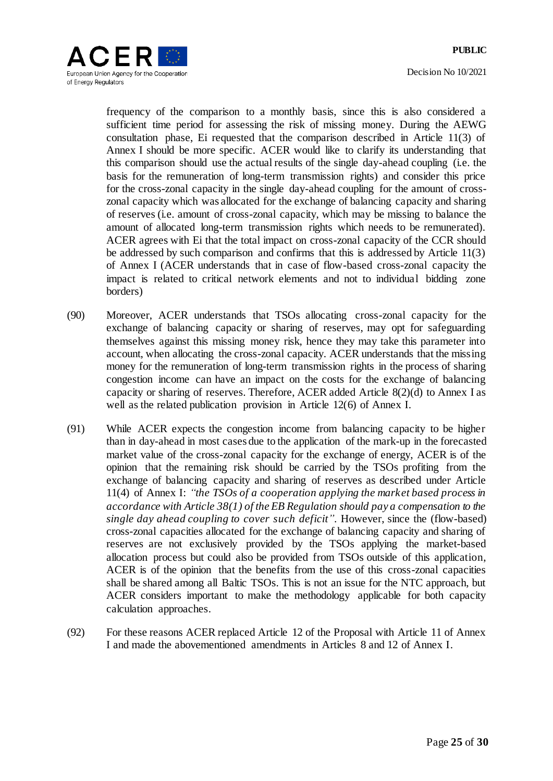Decision No 10/2021



frequency of the comparison to a monthly basis, since this is also considered a sufficient time period for assessing the risk of missing money. During the AEWG consultation phase, Ei requested that the comparison described in Article 11(3) of Annex I should be more specific. ACER would like to clarify its understanding that this comparison should use the actual results of the single day-ahead coupling (i.e. the basis for the remuneration of long-term transmission rights) and consider this price for the cross-zonal capacity in the single day-ahead coupling for the amount of crosszonal capacity which was allocated for the exchange of balancing capacity and sharing of reserves (i.e. amount of cross-zonal capacity, which may be missing to balance the amount of allocated long-term transmission rights which needs to be remunerated). ACER agrees with Ei that the total impact on cross-zonal capacity of the CCR should be addressed by such comparison and confirms that this is addressed by Article 11(3) of Annex I (ACER understands that in case of flow-based cross-zonal capacity the impact is related to critical network elements and not to individual bidding zone borders)

- (90) Moreover, ACER understands that TSOs allocating cross-zonal capacity for the exchange of balancing capacity or sharing of reserves, may opt for safeguarding themselves against this missing money risk, hence they may take this parameter into account, when allocating the cross-zonal capacity. ACER understands that the missing money for the remuneration of long-term transmission rights in the process of sharing congestion income can have an impact on the costs for the exchange of balancing capacity or sharing of reserves. Therefore, ACER added Article 8(2)(d) to Annex I as well as the related publication provision in Article 12(6) of Annex I.
- (91) While ACER expects the congestion income from balancing capacity to be higher than in day-ahead in most cases due to the application of the mark-up in the forecasted market value of the cross-zonal capacity for the exchange of energy, ACER is of the opinion that the remaining risk should be carried by the TSOs profiting from the exchange of balancing capacity and sharing of reserves as described under Article 11(4) of Annex I: *"the TSOs of a cooperation applying the market based process in accordance with Article 38(1) of the EB Regulation should pay a compensation to the single day ahead coupling to cover such deficit"*. However, since the (flow-based) cross-zonal capacities allocated for the exchange of balancing capacity and sharing of reserves are not exclusively provided by the TSOs applying the market-based allocation process but could also be provided from TSOs outside of this application, ACER is of the opinion that the benefits from the use of this cross-zonal capacities shall be shared among all Baltic TSOs. This is not an issue for the NTC approach, but ACER considers important to make the methodology applicable for both capacity calculation approaches.
- (92) For these reasons ACER replaced Article 12 of the Proposal with Article 11 of Annex I and made the abovementioned amendments in Articles 8 and 12 of Annex I.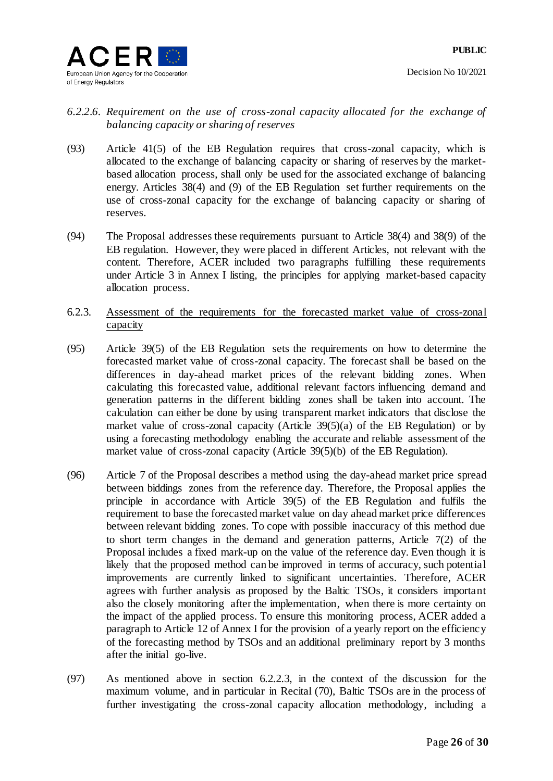

## *6.2.2.6. Requirement on the use of cross-zonal capacity allocated for the exchange of balancing capacity or sharing of reserves*

- (93) Article 41(5) of the EB Regulation requires that cross-zonal capacity, which is allocated to the exchange of balancing capacity or sharing of reserves by the marketbased allocation process, shall only be used for the associated exchange of balancing energy. Articles 38(4) and (9) of the EB Regulation set further requirements on the use of cross-zonal capacity for the exchange of balancing capacity or sharing of reserves.
- <span id="page-25-2"></span>(94) The Proposal addresses these requirements pursuant to Article 38(4) and 38(9) of the EB regulation. However, they were placed in different Articles, not relevant with the content. Therefore, ACER included two paragraphs fulfilling these requirements under Article 3 in Annex I listing, the principles for applying market-based capacity allocation process.
- <span id="page-25-1"></span>6.2.3. Assessment of the requirements for the forecasted market value of cross-zonal capacity
- (95) Article 39(5) of the EB Regulation sets the requirements on how to determine the forecasted market value of cross-zonal capacity. The forecast shall be based on the differences in day-ahead market prices of the relevant bidding zones. When calculating this forecasted value, additional relevant factors influencing demand and generation patterns in the different bidding zones shall be taken into account. The calculation can either be done by using transparent market indicators that disclose the market value of cross-zonal capacity (Article  $39(5)(a)$  of the EB Regulation) or by using a forecasting methodology enabling the accurate and reliable assessment of the market value of cross-zonal capacity (Article 39(5)(b) of the EB Regulation).
- (96) Article 7 of the Proposal describes a method using the day-ahead market price spread between biddings zones from the reference day. Therefore, the Proposal applies the principle in accordance with Article 39(5) of the EB Regulation and fulfils the requirement to base the forecasted market value on day ahead market price differences between relevant bidding zones. To cope with possible inaccuracy of this method due to short term changes in the demand and generation patterns, Article 7(2) of the Proposal includes a fixed mark-up on the value of the reference day. Even though it is likely that the proposed method can be improved in terms of accuracy, such potential improvements are currently linked to significant uncertainties. Therefore, ACER agrees with further analysis as proposed by the Baltic TSOs, it considers important also the closely monitoring after the implementation, when there is more certainty on the impact of the applied process. To ensure this monitoring process, ACER added a paragraph to Article 12 of Annex I for the provision of a yearly report on the efficiency of the forecasting method by TSOs and an additional preliminary report by 3 months after the initial go-live.
- <span id="page-25-0"></span>(97) As mentioned above in section [6.2.2.3,](#page-14-0) in the context of the discussion for the maximum volume, and in particular in Recital [\(70\),](#page-17-1) Baltic TSOs are in the process of further investigating the cross-zonal capacity allocation methodology, including a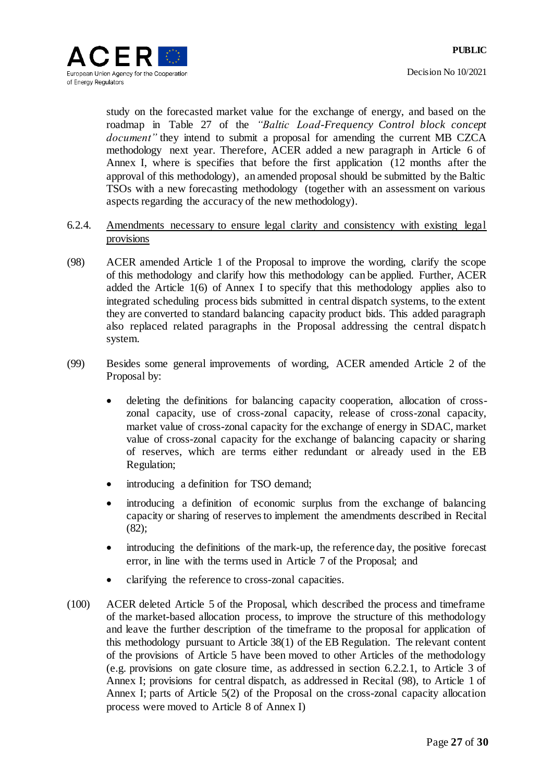

study on the forecasted market value for the exchange of energy, and based on the roadmap in Table 27 of the *"Baltic Load-Frequency Control block concept document"* they intend to submit a proposal for amending the current MB CZCA methodology next year. Therefore, ACER added a new paragraph in Article 6 of Annex I, where is specifies that before the first application (12 months after the approval of this methodology), an amended proposal should be submitted by the Baltic TSOs with a new forecasting methodology (together with an assessment on various aspects regarding the accuracy of the new methodology).

- 6.2.4. Amendments necessary to ensure legal clarity and consistency with existing legal provisions
- <span id="page-26-0"></span>(98) ACER amended Article 1 of the Proposal to improve the wording, clarify the scope of this methodology and clarify how this methodology can be applied. Further, ACER added the Article 1(6) of Annex I to specify that this methodology applies also to integrated scheduling process bids submitted in central dispatch systems, to the extent they are converted to standard balancing capacity product bids. This added paragraph also replaced related paragraphs in the Proposal addressing the central dispatch system.
- (99) Besides some general improvements of wording, ACER amended Article 2 of the Proposal by:
	- deleting the definitions for balancing capacity cooperation, allocation of crosszonal capacity, use of cross-zonal capacity, release of cross-zonal capacity, market value of cross-zonal capacity for the exchange of energy in SDAC, market value of cross-zonal capacity for the exchange of balancing capacity or sharing of reserves, which are terms either redundant or already used in the EB Regulation;
	- introducing a definition for TSO demand;
	- introducing a definition of economic surplus from the exchange of balancing capacity or sharing of reserves to implement the amendments described in Recital [\(82\);](#page-20-0)
	- introducing the definitions of the mark-up, the reference day, the positive forecast error, in line with the terms used in Article 7 of the Proposal; and
	- clarifying the reference to cross-zonal capacities.
- (100) ACER deleted Article 5 of the Proposal, which described the process and timeframe of the market-based allocation process, to improve the structure of this methodology and leave the further description of the timeframe to the proposal for application of this methodology pursuant to Article 38(1) of the EB Regulation. The relevant content of the provisions of Article 5 have been moved to other Articles of the methodology (e.g. provisions on gate closure time, as addressed in section [6.2.2.1,](#page-11-0) to Article 3 of Annex I; provisions for central dispatch, as addressed in Recital [\(98\),](#page-26-0) to Article 1 of Annex I; parts of Article 5(2) of the Proposal on the cross-zonal capacity allocation process were moved to Article 8 of Annex I)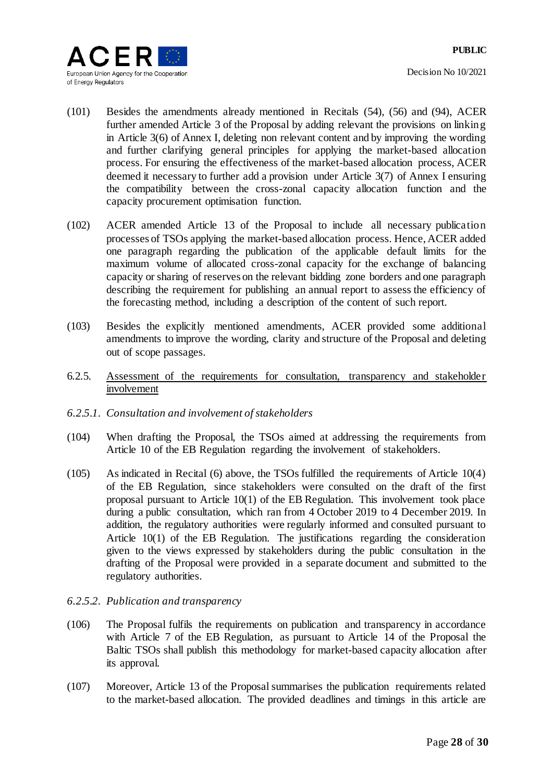

- (101) Besides the amendments already mentioned in Recitals [\(54\),](#page-12-0) [\(56\)](#page-13-0) and [\(94\),](#page-25-2) ACER further amended Article 3 of the Proposal by adding relevant the provisions on linking in Article 3(6) of Annex I, deleting non relevant content and by improving the wording and further clarifying general principles for applying the market-based allocation process. For ensuring the effectiveness of the market-based allocation process, ACER deemed it necessary to further add a provision under Article 3(7) of Annex I ensuring the compatibility between the cross-zonal capacity allocation function and the capacity procurement optimisation function.
- (102) ACER amended Article 13 of the Proposal to include all necessary publication processes of TSOs applying the market-based allocation process. Hence, ACER added one paragraph regarding the publication of the applicable default limits for the maximum volume of allocated cross-zonal capacity for the exchange of balancing capacity or sharing of reserves on the relevant bidding zone borders and one paragraph describing the requirement for publishing an annual report to assess the efficiency of the forecasting method, including a description of the content of such report.
- (103) Besides the explicitly mentioned amendments, ACER provided some additional amendments to improve the wording, clarity and structure of the Proposal and deleting out of scope passages.
- 6.2.5. Assessment of the requirements for consultation, transparency and stakeholder involvement
- *6.2.5.1. Consultation and involvement of stakeholders*
- (104) When drafting the Proposal, the TSOs aimed at addressing the requirements from Article 10 of the EB Regulation regarding the involvement of stakeholders.
- (105) As indicated in Recital [\(6\)](#page-1-0) above, the TSOs fulfilled the requirements of Article 10(4) of the EB Regulation, since stakeholders were consulted on the draft of the first proposal pursuant to Article  $10(1)$  of the EB Regulation. This involvement took place during a public consultation, which ran from 4 October 2019 to 4 December 2019. In addition, the regulatory authorities were regularly informed and consulted pursuant to Article 10(1) of the EB Regulation. The justifications regarding the consideration given to the views expressed by stakeholders during the public consultation in the drafting of the Proposal were provided in a separate document and submitted to the regulatory authorities.
- *6.2.5.2. Publication and transparency*
- (106) The Proposal fulfils the requirements on publication and transparency in accordance with Article 7 of the EB Regulation, as pursuant to Article 14 of the Proposal the Baltic TSOs shall publish this methodology for market-based capacity allocation after its approval.
- (107) Moreover, Article 13 of the Proposal summarises the publication requirements related to the market-based allocation. The provided deadlines and timings in this article are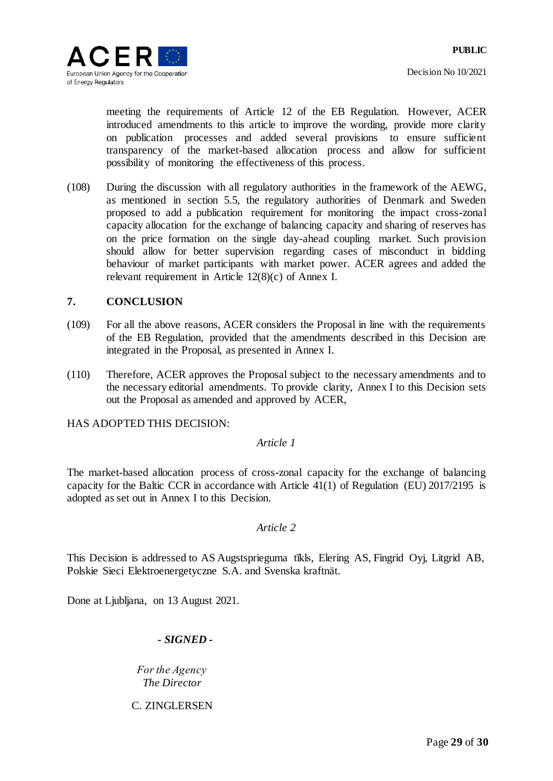meeting the requirements of Article 12 of the EB Regulation. However, ACER introduced amendments to this article to improve the wording, provide more clarity on publication processes and added several provisions to ensure sufficient transparency of the market-based allocation process and allow for sufficient possibility of monitoring the effectiveness of this process.

(108) During the discussion with all regulatory authorities in the framework of the AEWG, as mentioned in section [5.5,](#page-7-0) the regulatory authorities of Denmark and Sweden proposed to add a publication requirement for monitoring the impact cross-zonal capacity allocation for the exchange of balancing capacity and sharing of reserves has on the price formation on the single day-ahead coupling market. Such provision should allow for better supervision regarding cases of misconduct in bidding behaviour of market participants with market power. ACER agrees and added the relevant requirement in Article 12(8)(c) of Annex I.

## **7. CONCLUSION**

- (109) For all the above reasons, ACER considers the Proposal in line with the requirements of the EB Regulation, provided that the amendments described in this Decision are integrated in the Proposal, as presented in Annex I.
- (110) Therefore, ACER approves the Proposal subject to the necessary amendments and to the necessary editorial amendments. To provide clarity, Annex I to this Decision sets out the Proposal as amended and approved by ACER,

HAS ADOPTED THIS DECISION:

## *Article 1*

The market-based allocation process of cross-zonal capacity for the exchange of balancing capacity for the Baltic CCR in accordance with Article 41(1) of Regulation (EU) 2017/2195 is adopted as set out in Annex I to this Decision.

## *Article 2*

This Decision is addressed to AS Augstsprieguma tīkls, Elering AS, Fingrid Oyj, Litgrid AB, Polskie Sieci Elektroenergetyczne S.A. and Svenska kraftnät.

Done at Ljubljana, on 13 August 2021.

## *- SIGNED -*

*Fоr the Agency The Director*

C. ZINGLERSEN